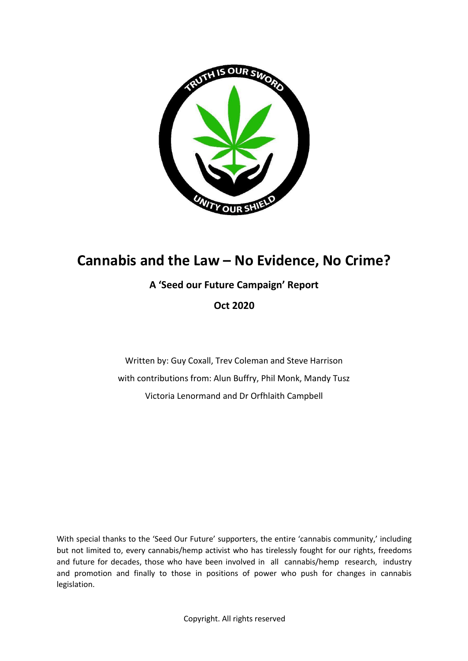

# **Cannabis and the Law – No Evidence, No Crime?**

# **A 'Seed our Future Campaign' Report**

**Oct 2020**

Written by: Guy Coxall, Trev Coleman and Steve Harrison with contributions from: Alun Buffry, Phil Monk, Mandy Tusz Victoria Lenormand and Dr Orfhlaith Campbell

With special thanks to the 'Seed Our Future' supporters, the entire 'cannabis community,' including but not limited to, every cannabis/hemp activist who has tirelessly fought for our rights, freedoms and future for decades, those who have been involved in all cannabis/hemp research, industry and promotion and finally to those in positions of power who push for changes in cannabis legislation.

Copyright. All rights reserved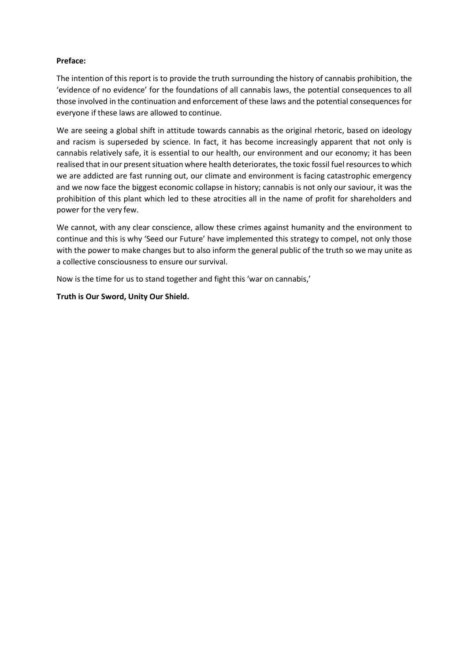### **Preface:**

The intention of this report is to provide the truth surrounding the history of cannabis prohibition, the 'evidence of no evidence' for the foundations of all cannabis laws, the potential consequences to all those involved in the continuation and enforcement of these laws and the potential consequences for everyone if these laws are allowed to continue.

We are seeing a global shift in attitude towards cannabis as the original rhetoric, based on ideology and racism is superseded by science. In fact, it has become increasingly apparent that not only is cannabis relatively safe, it is essential to our health, our environment and our economy; it has been realised that in our present situation where health deteriorates, the toxic fossil fuel resources to which we are addicted are fast running out, our climate and environment is facing catastrophic emergency and we now face the biggest economic collapse in history; cannabis is not only our saviour, it was the prohibition of this plant which led to these atrocities all in the name of profit for shareholders and power for the very few.

We cannot, with any clear conscience, allow these crimes against humanity and the environment to continue and this is why 'Seed our Future' have implemented this strategy to compel, not only those with the power to make changes but to also inform the general public of the truth so we may unite as a collective consciousness to ensure our survival.

Now is the time for us to stand together and fight this 'war on cannabis,'

### **Truth is Our Sword, Unity Our Shield.**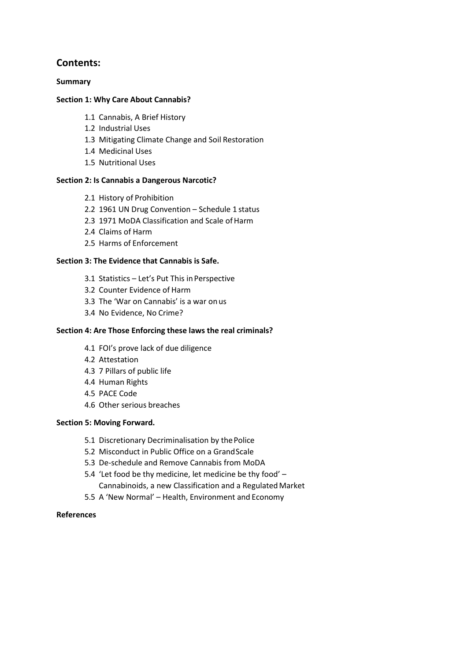# **Contents:**

### **Summary**

### **Section 1: Why Care About Cannabis?**

- 1.1 Cannabis, A Brief History
- 1.2 Industrial Uses
- 1.3 Mitigating Climate Change and Soil Restoration
- 1.4 Medicinal Uses
- 1.5 Nutritional Uses

### **Section 2: Is Cannabis a Dangerous Narcotic?**

- 2.1 History of Prohibition
- 2.2 1961 UN Drug Convention Schedule 1 status
- 2.3 1971 MoDA Classification and Scale of Harm
- 2.4 Claims of Harm
- 2.5 Harms of Enforcement

### **Section 3: The Evidence that Cannabis is Safe.**

- 3.1 Statistics Let's Put This inPerspective
- 3.2 Counter Evidence of Harm
- 3.3 The 'War on Cannabis' is a war on us
- 3.4 No Evidence, No Crime?

### **Section 4: Are Those Enforcing these laws the real criminals?**

- 4.1 FOI's prove lack of due diligence
- 4.2 Attestation
- 4.3 7 Pillars of public life
- 4.4 Human Rights
- 4.5 PACE Code
- 4.6 Other serious breaches

### **Section 5: Moving Forward.**

- 5.1 Discretionary Decriminalisation by the Police
- 5.2 Misconduct in Public Office on a GrandScale
- 5.3 De-schedule and Remove Cannabis from MoDA
- 5.4 'Let food be thy medicine, let medicine be thy food' Cannabinoids, a new Classification and a RegulatedMarket
- 5.5 A 'New Normal' Health, Environment and Economy

### **References**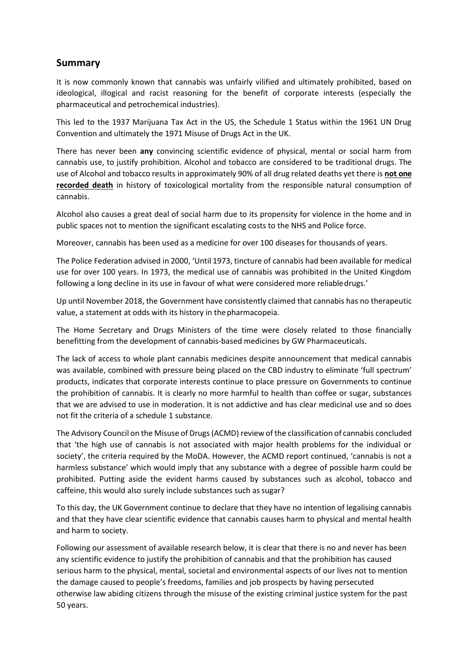## **Summary**

It is now commonly known that cannabis was unfairly vilified and ultimately prohibited, based on ideological, illogical and racist reasoning for the benefit of corporate interests (especially the pharmaceutical and petrochemical industries).

This led to the 1937 Marijuana Tax Act in the US, the Schedule 1 Status within the 1961 UN Drug Convention and ultimately the 1971 Misuse of Drugs Act in the UK.

There has never been **any** convincing scientific evidence of physical, mental or social harm from cannabis use, to justify prohibition. Alcohol and tobacco are considered to be traditional drugs. The use of Alcohol and tobacco results in approximately 90% of all drug related deaths yet there is **not one recorded death** in history of toxicological mortality from the responsible natural consumption of cannabis.

Alcohol also causes a great deal of social harm due to its propensity for violence in the home and in public spaces not to mention the significant escalating costs to the NHS and Police force.

Moreover, cannabis has been used as a medicine for over 100 diseases for thousands of years.

The Police Federation advised in 2000, 'Until 1973, tincture of cannabis had been available for medical use for over 100 years. In 1973, the medical use of cannabis was prohibited in the United Kingdom following a long decline in its use in favour of what were considered more reliabledrugs.'

Up until November 2018, the Government have consistently claimed that cannabis has no therapeutic value, a statement at odds with its history in the pharmacopeia.

The Home Secretary and Drugs Ministers of the time were closely related to those financially benefitting from the development of cannabis-based medicines by GW Pharmaceuticals.

The lack of access to whole plant cannabis medicines despite announcement that medical cannabis was available, combined with pressure being placed on the CBD industry to eliminate 'full spectrum' products, indicates that corporate interests continue to place pressure on Governments to continue the prohibition of cannabis. It is clearly no more harmful to health than coffee or sugar, substances that we are advised to use in moderation. It is not addictive and has clear medicinal use and so does not fit the criteria of a schedule 1 substance.

The Advisory Council on the Misuse of Drugs(ACMD) review ofthe classification of cannabis concluded that 'the high use of cannabis is not associated with major health problems for the individual or society', the criteria required by the MoDA. However, the ACMD report continued, 'cannabis is not a harmless substance' which would imply that any substance with a degree of possible harm could be prohibited. Putting aside the evident harms caused by substances such as alcohol, tobacco and caffeine, this would also surely include substances such as sugar?

To this day, the UK Government continue to declare that they have no intention of legalising cannabis and that they have clear scientific evidence that cannabis causes harm to physical and mental health and harm to society.

Following our assessment of available research below, it is clear that there is no and never has been any scientific evidence to justify the prohibition of cannabis and that the prohibition has caused serious harm to the physical, mental, societal and environmental aspects of our lives not to mention the damage caused to people's freedoms, families and job prospects by having persecuted otherwise law abiding citizens through the misuse of the existing criminal justice system for the past 50 years.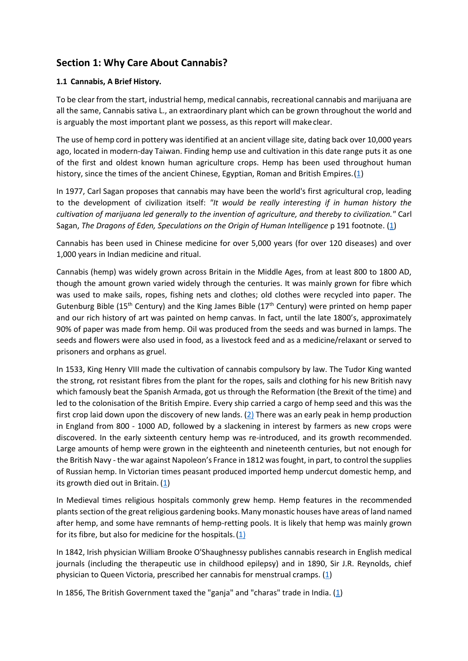# **Section 1: Why Care About Cannabis?**

### **1.1 Cannabis, A Brief History.**

To be clear from the start, industrial hemp, medical cannabis, recreational cannabis and marijuana are all the same, Cannabis sativa L., an extraordinary plant which can be grown throughout the world and is arguably the most important plant we possess, as this report will make clear.

The use of hemp cord in pottery was identified at an ancient village site, dating back over 10,000 years ago, located in modern-day Taiwan. Finding hemp use and cultivation in this date range puts it as one of the first and oldest known human agriculture crops. Hemp has been used throughout human history, since the times of the ancient Chinese, Egyptian, Roman and British Empires. [\(1\)](http://www.advancedholistichealth.org/history.html)

In 1977, Carl Sagan proposes that cannabis may have been the world's first agricultural crop, leading to the development of civilization itself: *"It would be really interesting if in human history the cultivation of marijuana led generally to the invention of agriculture, and thereby to civilization."* Carl Sagan, *The Dragons of Eden, Speculations on the Origin of Human Intelligence* p 191 footnote[. \(1\)](http://www.advancedholistichealth.org/history.html)

Cannabis has been used in Chinese medicine for over 5,000 years (for over 120 diseases) and over 1,000 years in Indian medicine and ritual.

Cannabis (hemp) was widely grown across Britain in the Middle Ages, from at least 800 to 1800 AD, though the amount grown varied widely through the centuries. It was mainly grown for fibre which was used to make sails, ropes, fishing nets and clothes; old clothes were recycled into paper. The Gutenburg Bible (15<sup>th</sup> Century) and the King James Bible (17<sup>th</sup> Century) were printed on hemp paper and our rich history of art was painted on hemp canvas. In fact, until the late 1800's, approximately 90% of paper was made from hemp. Oil was produced from the seeds and was burned in lamps. The seeds and flowers were also used in food, as a livestock feed and as a medicine/relaxant or served to prisoners and orphans as gruel.

In 1533, King Henry VIII made the cultivation of cannabis compulsory by law. The Tudor King wanted the strong, rot resistant fibres from the plant for the ropes, sails and clothing for his new British navy which famously beat the Spanish Armada, got us through the Reformation (the Brexit of the time) and led to the colonisation of the British Empire. Every ship carried a cargo of hemp seed and this was the first crop laid down upon the discovery of new lands. [\(2\)](https://issuu.com/ricsmodus/docs/land_journal_march-april_2020/26?fbclid=IwAR2xOn1fNjF564MC29Khb9Ho1ggZoNVs05PP8Fxb0DHW0RDh4GX5aCpbApY) There was an early peak in hemp production in England from 800 - 1000 AD, followed by a slackening in interest by farmers as new crops were discovered. In the early sixteenth century hemp was re-introduced, and its growth recommended. Large amounts of hemp were grown in the eighteenth and nineteenth centuries, but not enough for the British Navy - the war against Napoleon's France in 1812 wasfought, in part, to control the supplies of Russian hemp. In Victorian times peasant produced imported hemp undercut domestic hemp, and its growth died out in Britain. [\(1\)](http://www.advancedholistichealth.org/history.html)

In Medieval times religious hospitals commonly grew hemp. Hemp features in the recommended plants section of the great religious gardening books. Many monastic houses have areas of land named after hemp, and some have remnants of hemp-retting pools. It is likely that hemp was mainly grown for its fibre, but also for medicine for the hospitals.  $(1)$ 

In 1842, Irish physician William Brooke O'Shaughnessy publishes cannabis research in English medical journals (including the therapeutic use in childhood epilepsy) and in 1890, Sir J.R. Reynolds, chief physician to Queen Victoria, prescribed her cannabis for menstrual cramps. [\(1\)](http://www.advancedholistichealth.org/history.html)

In 1856, The British Government taxed the "ganja" and "charas" trade in India. [\(1\)](http://www.advancedholistichealth.org/history.html)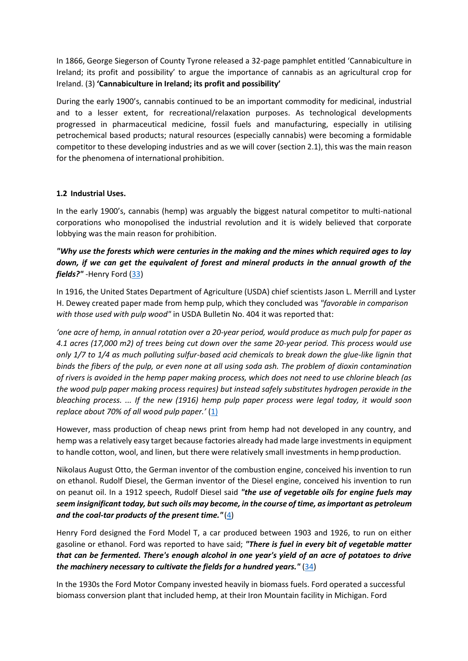In 1866, George Siegerson of County Tyrone released a 32-page pamphlet entitled 'Cannabiculture in Ireland; its profit and possibility' to argue the importance of cannabis as an agricultural crop for Ireland. (3) **'Cannabiculture in Ireland; its profit and possibility'**

During the early 1900's, cannabis continued to be an important commodity for medicinal, industrial and to a lesser extent, for recreational/relaxation purposes. As technological developments progressed in pharmaceutical medicine, fossil fuels and manufacturing, especially in utilising petrochemical based products; natural resources (especially cannabis) were becoming a formidable competitor to these developing industries and as we will cover (section 2.1), this was the main reason for the phenomena of international prohibition.

### **1.2 Industrial Uses.**

In the early 1900's, cannabis (hemp) was arguably the biggest natural competitor to multi-national corporations who monopolised the industrial revolution and it is widely believed that corporate lobbying was the main reason for prohibition.

### *"Why use the forests which were centuries in the making and the mines which required ages to lay down, if we can get the equivalent of forest and mineral products in the annual growth of the fields?"* -Henry Ford [\(33\)](http://www.druglibrary.org/SCHAFFER/hemp/indust/hawaii1.htm)

In 1916, the United States Department of Agriculture (USDA) chief scientists Jason L. Merrill and Lyster H. Dewey created paper made from hemp pulp, which they concluded was *"favorable in comparison with those used with pulp wood"* in USDA Bulletin No. 404 it was reported that:

*'one acre of hemp, in annual rotation over a 20-year period, would produce as much pulp for paper as 4.1 acres (17,000 m2) of trees being cut down over the same 20-year period. This process would use only 1/7 to 1/4 as much polluting sulfur-based acid chemicals to break down the glue-like lignin that binds the fibers of the pulp, or even none at all using soda ash. The problem of dioxin contamination of rivers is avoided in the hemp paper making process, which does not need to use chlorine bleach (as the wood pulp paper making process requires) but instead safely substitutes hydrogen peroxide in the bleaching process. ... If the new (1916) hemp pulp paper process were legal today, it would soon replace about 70% of all wood pulp paper.'* [\(1\)](http://www.advancedholistichealth.org/history.html)

However, mass production of cheap news print from hemp had not developed in any country, and hemp was a relatively easy target because factories already had made large investmentsin equipment to handle cotton, wool, and linen, but there were relatively small investments in hempproduction.

Nikolaus August Otto, the German inventor of the combustion engine, conceived his invention to run on ethanol. Rudolf Diesel, the German inventor of the Diesel engine, conceived his invention to run on peanut oil. In a 1912 speech, Rudolf Diesel said *"the use of vegetable oils for engine fuels may seem insignificant today, but such oils may become, in the course of time, asimportant as petroleum and the coal-tar products of the present time."*[\(4\)](http://herbmuseum.ca/content/part-2-history-hemp-fuels?fbclid=IwAR2zmV2kpEgXmRzbUEuXKisFzbkzEkVshaoCUVzD1Rx4SnXMFNOy07exXf4)

Henry Ford designed the Ford Model T, a car produced between 1903 and 1926, to run on either gasoline or ethanol. Ford was reported to have said; *"There is fuel in every bit of vegetable matter that can be fermented. There's enough alcohol in one year's yield of an acre of potatoes to drive the machinery necessary to cultivate the fields for a hundred years."* [\(34\)](http://www.hempcar.org/ford.shtml)

In the 1930s the Ford Motor Company invested heavily in biomass fuels. Ford operated a successful biomass conversion plant that included hemp, at their Iron Mountain facility in Michigan. Ford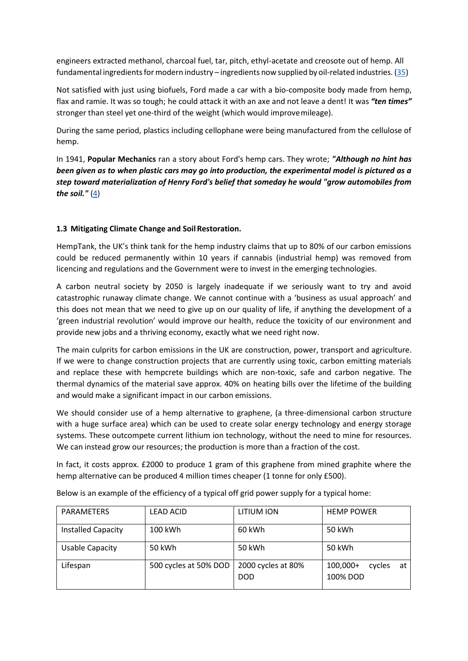engineers extracted methanol, charcoal fuel, tar, pitch, ethyl-acetate and creosote out of hemp. All fundamental ingredients for modern industry – ingredients now supplied by oil-related industries.  $(35)$ 

Not satisfied with just using biofuels, Ford made a car with a bio-composite body made from hemp, flax and ramie. It was so tough; he could attack it with an axe and not leave a dent! It was *"ten times"*  stronger than steel yet one-third of the weight (which would improvemileage).

During the same period, plastics including cellophane were being manufactured from the cellulose of hemp.

In 1941, **Popular Mechanics** ran a story about Ford's hemp cars. They wrote; *"Although no hint has been given as to when plastic cars may go into production, the experimental model is pictured as a step toward materialization of Henry Ford's belief that someday he would "grow automobiles from the soil."* [\(4\)](http://herbmuseum.ca/content/part-2-history-hemp-fuels?fbclid=IwAR2zmV2kpEgXmRzbUEuXKisFzbkzEkVshaoCUVzD1Rx4SnXMFNOy07exXf4)

### **1.3 Mitigating Climate Change and SoilRestoration.**

HempTank, the UK's think tank for the hemp industry claims that up to 80% of our carbon emissions could be reduced permanently within 10 years if cannabis (industrial hemp) was removed from licencing and regulations and the Government were to invest in the emerging technologies.

A carbon neutral society by 2050 is largely inadequate if we seriously want to try and avoid catastrophic runaway climate change. We cannot continue with a 'business as usual approach' and this does not mean that we need to give up on our quality of life, if anything the development of a 'green industrial revolution' would improve our health, reduce the toxicity of our environment and provide new jobs and a thriving economy, exactly what we need right now.

The main culprits for carbon emissions in the UK are construction, power, transport and agriculture. If we were to change construction projects that are currently using toxic, carbon emitting materials and replace these with hempcrete buildings which are non-toxic, safe and carbon negative. The thermal dynamics of the material save approx. 40% on heating bills over the lifetime of the building and would make a significant impact in our carbon emissions.

We should consider use of a hemp alternative to graphene, (a three-dimensional carbon structure with a huge surface area) which can be used to create solar energy technology and energy storage systems. These outcompete current lithium ion technology, without the need to mine for resources. We can instead grow our resources; the production is more than a fraction of the cost.

In fact, it costs approx. £2000 to produce 1 gram of this graphene from mined graphite where the hemp alternative can be produced 4 million times cheaper (1 tonne for only £500).

| PARAMETERS                | <b>LEAD ACID</b>      | LITIUM ION                       | <b>HEMP POWER</b>                    |
|---------------------------|-----------------------|----------------------------------|--------------------------------------|
| <b>Installed Capacity</b> | 100 kWh               | 60 kWh                           | 50 kWh                               |
| <b>Usable Capacity</b>    | 50 kWh                | 50 kWh                           | 50 kWh                               |
| Lifespan                  | 500 cycles at 50% DOD | 2000 cycles at 80%<br><b>DOD</b> | 100,000+<br>cycles<br>at<br>100% DOD |

Below is an example of the efficiency of a typical off grid power supply for a typical home: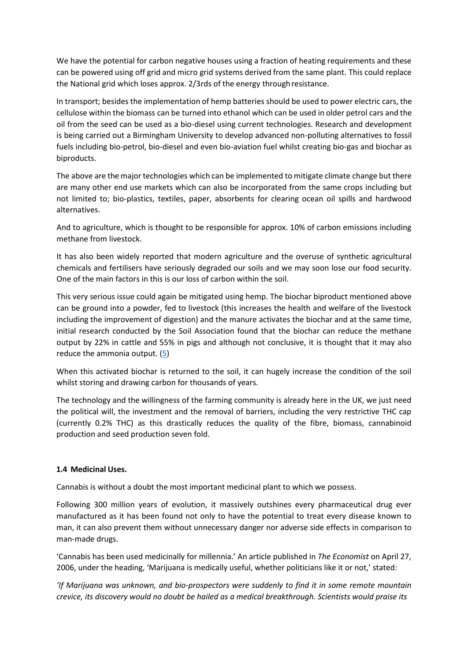We have the potential for carbon negative houses using a fraction of heating requirements and these can be powered using off grid and micro grid systems derived from the same plant. This could replace the National grid which loses approx. 2/3rds of the energy throughresistance.

In transport; besides the implementation of hemp batteries should be used to power electric cars, the cellulose within the biomass can be turned into ethanol which can be used in older petrol cars and the oil from the seed can be used as a bio-diesel using current technologies. Research and development is being carried out a Birmingham University to develop advanced non-polluting alternatives to fossil fuels including bio-petrol, bio-diesel and even bio-aviation fuel whilst creating bio-gas and biochar as biproducts.

The above are the major technologies which can be implemented to mitigate climate change but there are many other end use markets which can also be incorporated from the same crops including but not limited to; bio-plastics, textiles, paper, absorbents for clearing ocean oil spills and hardwood alternatives.

And to agriculture, which is thought to be responsible for approx. 10% of carbon emissions including methane from livestock.

It has also been widely reported that modern agriculture and the overuse of synthetic agricultural chemicals and fertilisers have seriously degraded our soils and we may soon lose our food security. One of the main factors in this is our loss of carbon within the soil.

This very serious issue could again be mitigated using hemp. The biochar biproduct mentioned above can be ground into a powder, fed to livestock (this increases the health and welfare of the livestock including the improvement of digestion) and the manure activates the biochar and at the same time, initial research conducted by the Soil Association found that the biochar can reduce the methane output by 22% in cattle and 55% in pigs and although not conclusive, it is thought that it may also reduce the ammonia output. [\(5\)](https://innovativefarmers.org/field-lab/?id=0a0868eb-8fe1-e711-816a-005056ad0bd4)

When this activated biochar is returned to the soil, it can hugely increase the condition of the soil whilst storing and drawing carbon for thousands of years.

The technology and the willingness of the farming community is already here in the UK, we just need the political will, the investment and the removal of barriers, including the very restrictive THC cap (currently 0.2% THC) as this drastically reduces the quality of the fibre, biomass, cannabinoid production and seed production seven fold.

### **1.4 Medicinal Uses.**

Cannabis is without a doubt the most important medicinal plant to which we possess.

Following 300 million years of evolution, it massively outshines every pharmaceutical drug ever manufactured as it has been found not only to have the potential to treat every disease known to man, it can also prevent them without unnecessary danger nor adverse side effects in comparison to man-made drugs.

'Cannabis has been used medicinally for millennia.' An article published in *The Economist* on April 27, 2006, under the heading, 'Marijuana is medically useful, whether politicians like it or not,' stated:

*'If Marijuana was unknown, and bio-prospectors were suddenly to find it in some remote mountain crevice, its discovery would no doubt be hailed as a medical breakthrough. Scientists would praise its*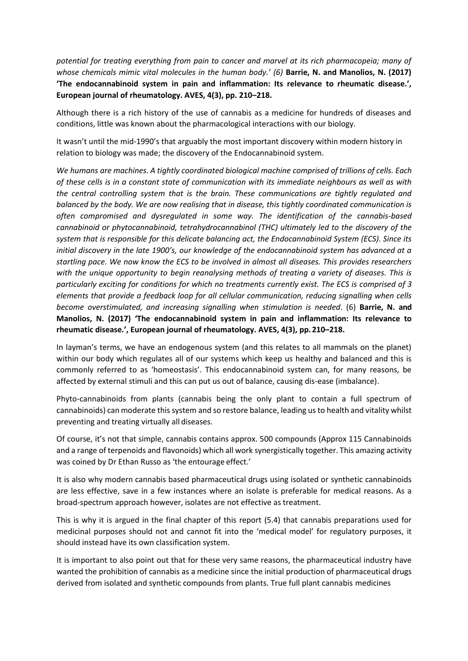*potential for treating everything from pain to cancer and marvel at its rich pharmacopeia; many of whose chemicals mimic vital molecules in the human body.' (6)* **Barrie, N. and Manolios, N. (2017) 'The endocannabinoid system in pain and inflammation: Its relevance to rheumatic disease.', European journal of rheumatology. AVES, 4(3), pp. 210–218.**

Although there is a rich history of the use of cannabis as a medicine for hundreds of diseases and conditions, little was known about the pharmacological interactions with our biology.

It wasn't until the mid-1990's that arguably the most important discovery within modern history in relation to biology was made; the discovery of the Endocannabinoid system.

*We humans are machines. A tightly coordinated biological machine comprised of trillions of cells. Each of these cells is in a constant state of communication with its immediate neighbours as well as with the central controlling system that is the brain. These communications are tightly regulated and balanced by the body. We are now realising that in disease, this tightly coordinated communication is often compromised and dysregulated in some way. The identification of the cannabis-based cannabinoid or phytocannabinoid, tetrahydrocannabinol (THC) ultimately led to the discovery of the system that is responsible for this delicate balancing act, the Endocannabinoid System (ECS). Since its initial discovery in the late 1900's, our knowledge of the endocannabinoid system has advanced at a startling pace. We now know the ECS to be involved in almost all diseases. This provides researchers with the unique opportunity to begin reanalysing methods of treating a variety of diseases. This is particularly exciting for conditions for which no treatments currently exist. The ECS is comprised of 3 elements that provide a feedback loop for all cellular communication, reducing signalling when cells become overstimulated, and increasing signalling when stimulation is needed*. (6) **Barrie, N. and Manolios, N. (2017) 'The endocannabinoid system in pain and inflammation: Its relevance to rheumatic disease.', European journal of rheumatology. AVES, 4(3), pp.210–218.**

In layman's terms, we have an endogenous system (and this relates to all mammals on the planet) within our body which regulates all of our systems which keep us healthy and balanced and this is commonly referred to as 'homeostasis'. This endocannabinoid system can, for many reasons, be affected by external stimuli and this can put us out of balance, causing dis-ease (imbalance).

Phyto-cannabinoids from plants (cannabis being the only plant to contain a full spectrum of cannabinoids) can moderate this system and so restore balance, leading us to health and vitality whilst preventing and treating virtually all diseases.

Of course, it's not that simple, cannabis contains approx. 500 compounds (Approx 115 Cannabinoids and a range of terpenoids and flavonoids) which all work synergistically together. This amazing activity was coined by Dr Ethan Russo as 'the entourage effect.'

It is also why modern cannabis based pharmaceutical drugs using isolated or synthetic cannabinoids are less effective, save in a few instances where an isolate is preferable for medical reasons. As a broad-spectrum approach however, isolates are not effective as treatment.

This is why it is argued in the final chapter of this report (5.4) that cannabis preparations used for medicinal purposes should not and cannot fit into the 'medical model' for regulatory purposes, it should instead have its own classification system.

It is important to also point out that for these very same reasons, the pharmaceutical industry have wanted the prohibition of cannabis as a medicine since the initial production of pharmaceutical drugs derived from isolated and synthetic compounds from plants. True full plant cannabis medicines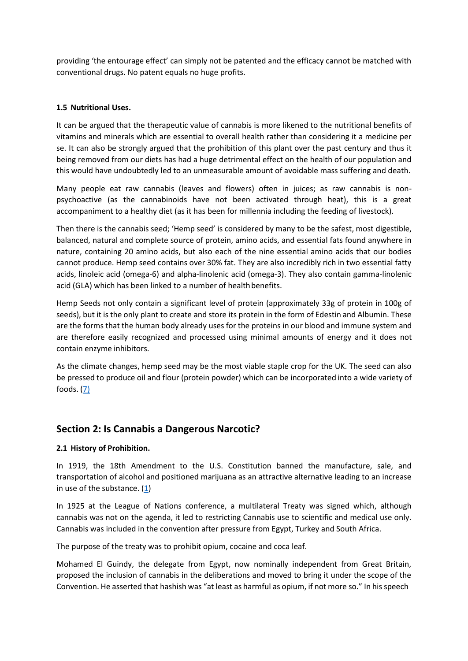providing 'the entourage effect' can simply not be patented and the efficacy cannot be matched with conventional drugs. No patent equals no huge profits.

### **1.5 Nutritional Uses.**

It can be argued that the therapeutic value of cannabis is more likened to the nutritional benefits of vitamins and minerals which are essential to overall health rather than considering it a medicine per se. It can also be strongly argued that the prohibition of this plant over the past century and thus it being removed from our diets has had a huge detrimental effect on the health of our population and this would have undoubtedly led to an unmeasurable amount of avoidable mass suffering and death.

Many people eat raw cannabis (leaves and flowers) often in juices; as raw cannabis is nonpsychoactive (as the cannabinoids have not been activated through heat), this is a great accompaniment to a healthy diet (as it has been for millennia including the feeding of livestock).

Then there is the cannabis seed; 'Hemp seed' is considered by many to be the safest, most digestible, balanced, natural and complete source of protein, amino acids, and essential fats found anywhere in nature, containing 20 amino acids, but also each of the nine essential amino acids that our bodies cannot produce. Hemp seed contains over 30% fat. They are also incredibly rich in two essential fatty acids, linoleic acid (omega-6) and alpha-linolenic acid (omega-3). They also contain gamma-linolenic acid (GLA) which has been linked to a number of health benefits.

Hemp Seeds not only contain a significant level of protein (approximately 33g of protein in 100g of seeds), but it isthe only plant to create and store its protein in the form of Edestin and Albumin. These are the forms that the human body already uses for the proteins in our blood and immune system and are therefore easily recognized and processed using minimal amounts of energy and it does not contain enzyme inhibitors.

As the climate changes, hemp seed may be the most viable staple crop for the UK. The seed can also be pressed to produce oil and flour (protein powder) which can be incorporated into a wide variety of foods. [\(7\)](https://www.hemptank.co.uk/hemp-seed-nutrition/#more-153)

# **Section 2: Is Cannabis a Dangerous Narcotic?**

### **2.1 History of Prohibition.**

In 1919, the 18th Amendment to the U.S. Constitution banned the manufacture, sale, and transportation of alcohol and positioned marijuana as an attractive alternative leading to an increase in use of the substance. [\(1\)](http://www.advancedholistichealth.org/history.html)

In 1925 at the League of Nations conference, a multilateral Treaty was signed which, although cannabis was not on the agenda, it led to restricting Cannabis use to scientific and medical use only. Cannabis was included in the convention after pressure from Egypt, Turkey and South Africa.

The purpose of the treaty was to prohibit opium, cocaine and coca leaf.

Mohamed El Guindy, the delegate from Egypt, now nominally independent from Great Britain, proposed the inclusion of cannabis in the deliberations and moved to bring it under the scope of the Convention. He asserted that hashish was "at least as harmful as opium, if not more so." In his speech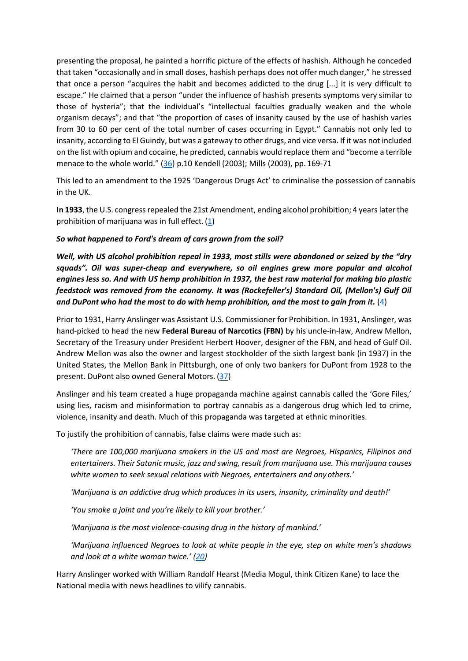presenting the proposal, he painted a horrific picture of the effects of hashish. Although he conceded that taken "occasionally and in small doses, hashish perhaps does not offer much danger," he stressed that once a person "acquires the habit and becomes addicted to the drug [...] it is very difficult to escape." He claimed that a person "under the influence of hashish presents symptoms very similar to those of hysteria"; that the individual's "intellectual faculties gradually weaken and the whole organism decays"; and that "the proportion of cases of insanity caused by the use of hashish varies from 30 to 60 per cent of the total number of cases occurring in Egypt." Cannabis not only led to insanity, according to El Guindy, but was a gateway to other drugs, and vice versa. If it was not included on the list with opium and cocaine, he predicted, cannabis would replace them and "become a terrible menace to the whole world." (36) p.10 Kendell (2003); Mills (2003), pp. 169-71

This led to an amendment to the 1925 'Dangerous Drugs Act' to criminalise the possession of cannabis in the UK.

**In 1933**, the U.S. congress repealed the 21st Amendment, ending alcohol prohibition; 4 years later the prohibition of marijuana was in full effect.  $(1)$ 

### *So what happened to Ford's dream of cars grown from the soil?*

*Well, with US alcohol prohibition repeal in 1933, most stills were abandoned or seized by the "dry squads". Oil was super-cheap and everywhere, so oil engines grew more popular and alcohol engines less so. And with US hemp prohibition in 1937, the best raw material for making bio plastic feedstock was removed from the economy. It was (Rockefeller's) Standard Oil, (Mellon's) Gulf Oil and DuPont who had the most to do with hemp prohibition, and the most to gain from it.* [\(4\)](http://herbmuseum.ca/content/part-2-history-hemp-fuels?fbclid=IwAR2zmV2kpEgXmRzbUEuXKisFzbkzEkVshaoCUVzD1Rx4SnXMFNOy07exXf4)

Prior to 1931, Harry Anslinger was Assistant U.S. Commissioner for Prohibition. In 1931, Anslinger, was hand-picked to head the new **Federal Bureau of Narcotics (FBN)** by his uncle-in-law, Andrew Mellon, Secretary of the Treasury under President Herbert Hoover, designer of the FBN, and head of Gulf Oil. Andrew Mellon was also the owner and largest stockholder of the sixth largest bank (in 1937) in the United States, the Mellon Bank in Pittsburgh, one of only two bankers for DuPont from 1928 to the present. DuPont also owned General Motors. [\(37\)](http://www.jackherer.com/chapter04.html)

Anslinger and his team created a huge propaganda machine against cannabis called the 'Gore Files,' using lies, racism and misinformation to portray cannabis as a dangerous drug which led to crime, violence, insanity and death. Much of this propaganda was targeted at ethnic minorities.

To justify the prohibition of cannabis, false claims were made such as:

*'There are 100,000 marijuana smokers in the US and most are Negroes, Hispanics, Filipinos and entertainers. Their Satanic music, jazz and swing, result from marijuana use. This marijuana causes white women to seek sexual relations with Negroes, entertainers and anyothers.'*

*'Marijuana is an addictive drug which produces in its users, insanity, criminality and death!'* 

*'You smoke a joint and you're likely to kill your brother.'*

*'Marijuana is the most violence-causing drug in the history of mankind.'*

*'Marijuana influenced Negroes to look at white people in the eye, step on white men's shadows and look at a white woman twice.' [\(20\)](https://www.amazon.co.uk/Medical-Cannabis-Guidebook-Definitive-Medicinal-ebook/dp/B00UNP0QJW/ref%3Dsr_1_2?dchild=1&keywords=Medical%2Bcannabis%2Bguidebook%2B%E2%80%93%2BJeff%2BDitchfield%2Band%2BMel%2BThomas%3A&qid=1602761362&s=books&sr=1-2)*

Harry Anslinger worked with William Randolf Hearst (Media Mogul, think Citizen Kane) to lace the National media with news headlines to vilify cannabis.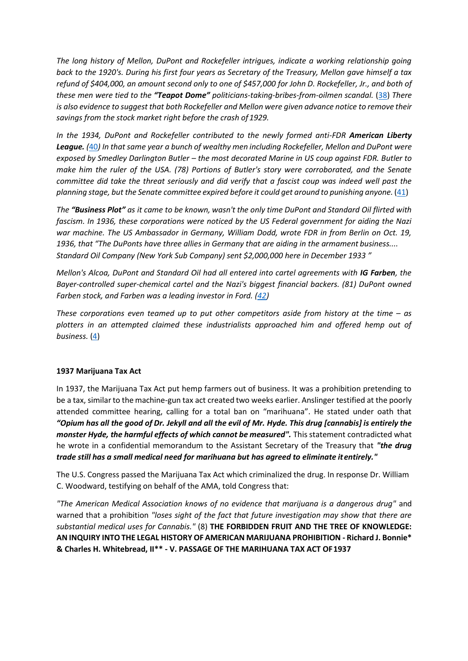*The long history of Mellon, DuPont and Rockefeller intrigues, indicate a working relationship going back to the 1920's. During his first four years as Secretary of the Treasury, Mellon gave himself a tax*  refund of \$404,000, an amount second only to one of \$457,000 for John D. Rockefeller, Jr., and both of *these men were tied to the "Teapot Dome" politicians-taking-bribes-from-oilmen scandal.* [\(38\)](http://www.mail-archive.com/ctrl%40listserv.aol.com/msg28389.html) *There is also evidence to suggest that both Rockefeller and Mellon were given advance notice to remove their savings from the stock market right before the crash of 1929.*

In the 1934, DuPont and Rockefeller contributed to the newly formed anti-FDR American Liberty League. ([40](http://www.informationclearinghouse.info/article13909.htm)) In that same year a bunch of wealthy men including Rockefeller, Mellon and DuPont were *exposed by Smedley Darlington Butler – the most decorated Marine in US coup against FDR. Butler to make him the ruler of the USA. (78) Portions of Butler's story were corroborated, and the Senate committee did take the threat seriously and did verify that a fascist coup was indeed well past the planning stage, but the Senate committee expired before it could get around to punishing anyone.* [\(41\)](http://coat.ncf.ca/our_magazine/links/53/Plot1.html)

The "Business Plot" as it came to be known, wasn't the only time DuPont and Standard Oil flirted with *fascism. In 1936, these corporations were noticed by the US Federal government for aiding the Nazi war machine. The US Ambassador in Germany, William Dodd, wrote FDR in from Berlin on Oct. 19, 1936, that "The DuPonts have three allies in Germany that are aiding in the armament business.... Standard Oil Company (New York Sub Company) sent \$2,000,000 here in December 1933 "*

*Mellon's Alcoa, DuPont and Standard Oil had all entered into cartel agreements with IG Farben, the Bayer-controlled super-chemical cartel and the Nazi's biggest financial backers. (81) DuPont owned Farben stock, and Farben was a leading investor in Ford.* [\(42\)](http://www.1134.org/stan/ul/GM-et-al.html)

*These corporations even teamed up to put other competitors aside from history at the time – as plotters in an attempted claimed these industrialists approached him and offered hemp out of business.* [\(4\)](http://herbmuseum.ca/content/part-2-history-hemp-fuels?fbclid=IwAR2zmV2kpEgXmRzbUEuXKisFzbkzEkVshaoCUVzD1Rx4SnXMFNOy07exXf4)

### **1937 Marijuana Tax Act**

In 1937, the Marijuana Tax Act put hemp farmers out of business. It was a prohibition pretending to be a tax, similar to the machine-gun tax act created two weeks earlier. Anslinger testified at the poorly attended committee hearing, calling for a total ban on "marihuana". He stated under oath that "Opium has all the good of Dr. Jekyll and all the evil of Mr. Hyde. This drug [cannabis] is entirely the *monster Hyde, the harmful effects of which cannot be measured".* This statement contradicted what he wrote in a confidential memorandum to the Assistant Secretary of the Treasury that *"the drug trade still has a small medical need for marihuana but has agreed to eliminate itentirely."*

The U.S. Congress passed the Marijuana Tax Act which criminalized the drug. In response Dr. William C. Woodward, testifying on behalf of the AMA, told Congress that:

*"The American Medical Association knows of no evidence that marijuana is a dangerous drug"* and warned that a prohibition *"loses sight of the fact that future investigation may show that there are substantial medical uses for Cannabis."* (8) **THE FORBIDDEN FRUIT AND THE TREE OF KNOWLEDGE: AN INQUIRY INTOTHE LEGAL HISTORY OF AMERICAN MARIJUANA PROHIBITION - Richard J. Bonnie\* & Charles H. Whitebread, II\*\* - V. PASSAGE OF THE MARIHUANA TAX ACT OF1937**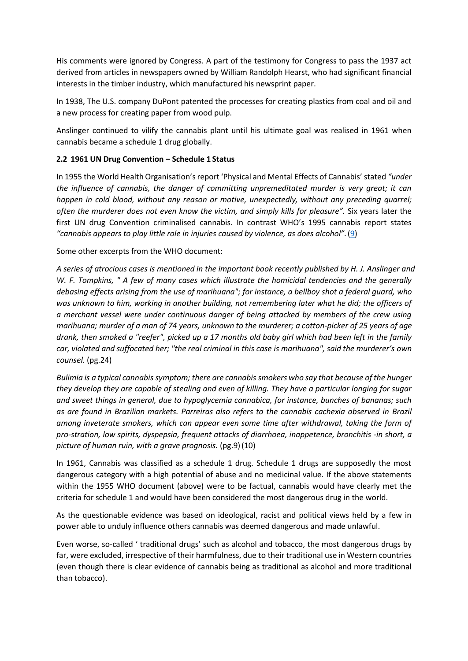His comments were ignored by Congress. A part of the testimony for Congress to pass the 1937 act derived from articles in newspapers owned by William Randolph Hearst, who had significant financial interests in the timber industry, which manufactured his newsprint paper.

In 1938, The U.S. company DuPont patented the processes for creating plastics from coal and oil and a new process for creating paper from wood pulp.

Anslinger continued to vilify the cannabis plant until his ultimate goal was realised in 1961 when cannabis became a schedule 1 drug globally.

### **2.2 1961 UN Drug Convention – Schedule 1 Status**

In 1955 the World Health Organisation'sreport 'Physical and Mental Effects of Cannabis' stated *"under the influence of cannabis, the danger of committing unpremeditated murder is very great; it can happen in cold blood, without any reason or motive, unexpectedly, without any preceding quarrel; often the murderer does not even know the victim, and simply kills for pleasure".* Six years later the first UN drug Convention criminalised cannabis. In contrast WHO's 1995 cannabis report states *"cannabis appears to play little role in injuries caused by violence, as does alcohol".*[\(9\)](https://publications.parliament.uk/pa/cm200506/cmselect/cmsctech/1031/1031.pdf)

Some other excerpts from the WHO document:

*A series of atrocious cases is mentioned in the important book recently published by H. J. Anslinger and W. F. Tompkins, " A few of many cases which illustrate the homicidal tendencies and the generally debasing effects arising from the use of marihuana"; for instance, a bellboy shot a federal guard, who was unknown to him, working in another building, not remembering later what he did; the officers of a merchant vessel were under continuous danger of being attacked by members of the crew using*  marihuana; murder of a man of 74 years, unknown to the murderer; a cotton-picker of 25 years of age *drank, then smoked a "reefer", picked up a 17 months old baby girl which had been left in the family car, violated and suffocated her; "the real criminal in this case is marihuana", said the murderer's own counsel.* (pg.24)

*Bulimia is a typical cannabis symptom; there are cannabis smokers who say that because of the hunger they develop they are capable of stealing and even of killing. They have a particular longing for sugar and sweet things in general, due to hypoglycemia cannabica, for instance, bunches of bananas; such as are found in Brazilian markets. Parreiras also refers to the cannabis cachexia observed in Brazil among inveterate smokers, which can appear even some time after withdrawal, taking the form of pro-stration, low spirits, dyspepsia, frequent attacks of diarrhoea, inappetence, bronchitis -in short, a picture of human ruin, with a grave prognosis.* (pg.9)(10)

In 1961, Cannabis was classified as a schedule 1 drug. Schedule 1 drugs are supposedly the most dangerous category with a high potential of abuse and no medicinal value. If the above statements within the 1955 WHO document (above) were to be factual, cannabis would have clearly met the criteria for schedule 1 and would have been considered the most dangerous drug in the world.

As the questionable evidence was based on ideological, racist and political views held by a few in power able to unduly influence others cannabis was deemed dangerous and made unlawful.

Even worse, so-called ' traditional drugs' such as alcohol and tobacco, the most dangerous drugs by far, were excluded, irrespective of their harmfulness, due to their traditional use in Western countries (even though there is clear evidence of cannabis being as traditional as alcohol and more traditional than tobacco).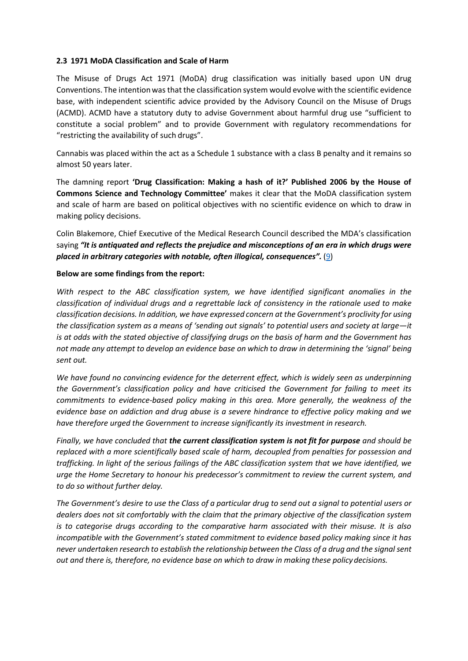### **2.3 1971 MoDA Classification and Scale of Harm**

The Misuse of Drugs Act 1971 (MoDA) drug classification was initially based upon UN drug Conventions. The intentionwas that the classification system would evolve with the scientific evidence base, with independent scientific advice provided by the Advisory Council on the Misuse of Drugs (ACMD). ACMD have a statutory duty to advise Government about harmful drug use "sufficient to constitute a social problem" and to provide Government with regulatory recommendations for "restricting the availability of such drugs".

Cannabis was placed within the act as a Schedule 1 substance with a class B penalty and it remains so almost 50 years later.

The damning report **'Drug Classification: Making a hash of it?' Published 2006 by the House of Commons Science and Technology Committee'** makes it clear that the MoDA classification system and scale of harm are based on political objectives with no scientific evidence on which to draw in making policy decisions.

Colin Blakemore, Chief Executive of the Medical Research Council described the MDA's classification saying *"It is antiquated and reflects the prejudice and misconceptions of an era in which drugs were placed in arbitrary categories with notable, often illogical, consequences".* [\(9\)](https://publications.parliament.uk/pa/cm200506/cmselect/cmsctech/1031/1031.pdf)

### **Below are some findings from the report:**

*With respect to the ABC classification system, we have identified significant anomalies in the classification of individual drugs and a regrettable lack of consistency in the rationale used to make classification decisions. In addition, we have expressed concern at the Government's proclivity for using the classification system as a means of 'sending out signals' to potential users and society at large—it is at odds with the stated objective of classifying drugs on the basis of harm and the Government has*  not made any attempt to develop an evidence base on which to draw in determining the 'signal' being *sent out.*

*We have found no convincing evidence for the deterrent effect, which is widely seen as underpinning the Government's classification policy and have criticised the Government for failing to meet its commitments to evidence-based policy making in this area. More generally, the weakness of the evidence base on addiction and drug abuse is a severe hindrance to effective policy making and we have therefore urged the Government to increase significantly its investment in research.*

*Finally, we have concluded that the current classification system is not fit for purpose and should be replaced with a more scientifically based scale of harm, decoupled from penalties for possession and trafficking. In light of the serious failings of the ABC classification system that we have identified, we urge the Home Secretary to honour his predecessor's commitment to review the current system, and to do so without further delay.*

*The Government's desire to use the Class of a particular drug to send out a signal to potential users or dealers does not sit comfortably with the claim that the primary objective of the classification system is to categorise drugs according to the comparative harm associated with their misuse. It is also incompatible with the Government's stated commitment to evidence based policy making since it has never undertaken research to establish the relationship between the Class of a drug and the signalsent out and there is, therefore, no evidence base on which to draw in making these policydecisions.*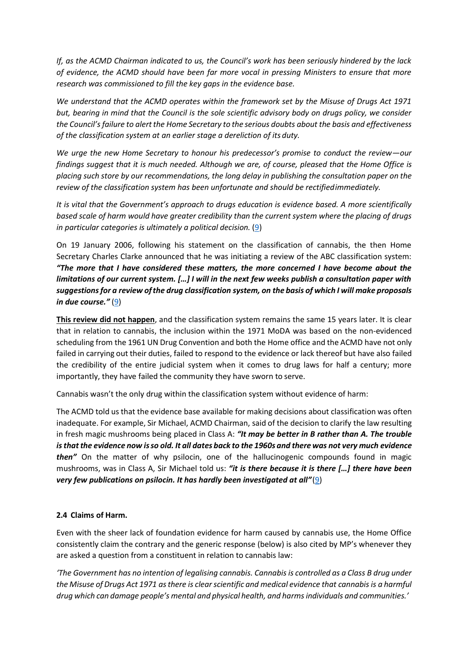*If, as the ACMD Chairman indicated to us, the Council's work has been seriously hindered by the lack of evidence, the ACMD should have been far more vocal in pressing Ministers to ensure that more research was commissioned to fill the key gaps in the evidence base.*

*We understand that the ACMD operates within the framework set by the Misuse of Drugs Act 1971 but, bearing in mind that the Council is the sole scientific advisory body on drugs policy, we consider*  the Council's failure to alert the Home Secretary to the serious doubts about the basis and effectiveness *of the classification system at an earlier stage a dereliction of its duty.*

*We urge the new Home Secretary to honour his predecessor's promise to conduct the review—our findings suggest that it is much needed. Although we are, of course, pleased that the Home Office is placing such store by our recommendations, the long delay in publishing the consultation paper on the review of the classification system has been unfortunate and should be rectifiedimmediately.*

*It is vital that the Government's approach to drugs education is evidence based. A more scientifically based scale of harm would have greater credibility than the current system where the placing of drugs in particular categories is ultimately a political decision.* [\(9\)](https://publications.parliament.uk/pa/cm200506/cmselect/cmsctech/1031/1031.pdf)

On 19 January 2006, following his statement on the classification of cannabis, the then Home Secretary Charles Clarke announced that he was initiating a review of the ABC classification system: *"The more that I have considered these matters, the more concerned I have become about the limitations of our current system. […] I will in the next few weeks publish a consultation paper with suggestionsfor a review ofthe drug classification system, on the basis of which I will make proposals in due course."* [\(9\)](https://publications.parliament.uk/pa/cm200506/cmselect/cmsctech/1031/1031.pdf)

**This review did not happen**, and the classification system remains the same 15 years later. It is clear that in relation to cannabis, the inclusion within the 1971 MoDA was based on the non-evidenced scheduling from the 1961 UN Drug Convention and both the Home office and the ACMD have not only failed in carrying out their duties, failed to respond to the evidence or lack thereof but have also failed the credibility of the entire judicial system when it comes to drug laws for half a century; more importantly, they have failed the community they have sworn to serve.

Cannabis wasn't the only drug within the classification system without evidence of harm:

The ACMD told us that the evidence base available for making decisions about classification was often inadequate. For example, Sir Michael, ACMD Chairman, said of the decision to clarify the law resulting in fresh magic mushrooms being placed in Class A: *"It may be better in B rather than A. The trouble*  is that the evidence now is so old. It all dates back to the 1960s and there was not very much evidence *then"* On the matter of why psilocin, one of the hallucinogenic compounds found in magic mushrooms, was in Class A, Sir Michael told us: *"it is there because it is there […] there have been very few publications on psilocin. It has hardly been investigated at all<sup>"</sup>[\(9\)](https://publications.parliament.uk/pa/cm200506/cmselect/cmsctech/1031/1031.pdf)* 

### **2.4 Claims of Harm.**

Even with the sheer lack of foundation evidence for harm caused by cannabis use, the Home Office consistently claim the contrary and the generic response (below) is also cited by MP's whenever they are asked a question from a constituent in relation to cannabis law:

*'The Government has no intention of legalising cannabis. Cannabis is controlled as a Class B drug under the Misuse of Drugs Act 1971 asthere is clearscientific and medical evidence that cannabis is a harmful drug which can damage people's mental and physical health, and harmsindividuals and communities.'*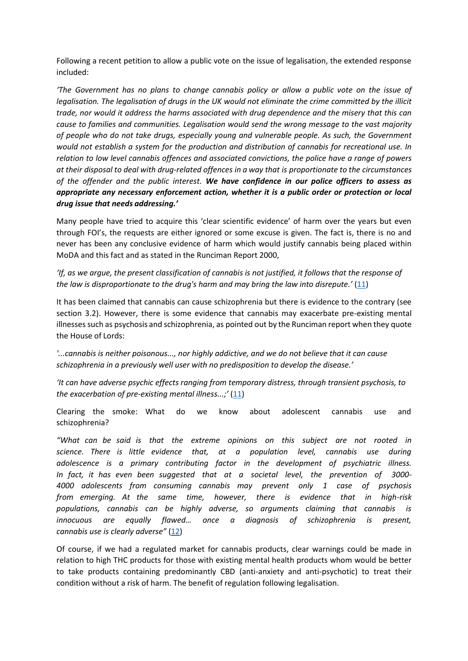Following a recent petition to allow a public vote on the issue of legalisation, the extended response included:

*'The Government has no plans to change cannabis policy or allow a public vote on the issue of legalisation. The legalisation of drugs in the UK would not eliminate the crime committed by the illicit trade, nor would it address the harms associated with drug dependence and the misery that this can cause to families and communities. Legalisation would send the wrong message to the vast majority of people who do not take drugs, especially young and vulnerable people. As such, the Government would not establish a system for the production and distribution of cannabis for recreational use. In relation to low level cannabis offences and associated convictions, the police have a range of powers at their disposal to deal with drug-related offences in a way that is proportionate to the circumstances of the offender and the public interest. We have confidence in our police officers to assess as appropriate any necessary enforcement action, whether it is a public order or protection or local drug issue that needs addressing.'*

Many people have tried to acquire this 'clear scientific evidence' of harm over the years but even through FOI's, the requests are either ignored or some excuse is given. The fact is, there is no and never has been any conclusive evidence of harm which would justify cannabis being placed within MoDA and this fact and as stated in the Runciman Report 2000,

*'If, as we argue, the present classification of cannabis is not justified, it follows that the response of the law is disproportionate to the drug's harm and may bring the law into disrepute.'* [\(11\)](http://www.druglibrary.org/schaffer/Library/studies/runciman/pf7.htm)

It has been claimed that cannabis can cause schizophrenia but there is evidence to the contrary (see section 3.2). However, there is some evidence that cannabis may exacerbate pre-existing mental illnesses such as psychosis and schizophrenia, as pointed out by the Runciman report when they quote the House of Lords:

*'...cannabis is neither poisonous..., nor highly addictive, and we do not believe that it can cause schizophrenia in a previously well user with no predisposition to develop the disease.'*

*'It can have adverse psychic effects ranging from temporary distress, through transient psychosis, to the exacerbation of pre-existing mental illness...;'* [\(11\)](http://www.druglibrary.org/schaffer/Library/studies/runciman/pf7.htm)

Clearing the smoke: What do we know about adolescent cannabis use and schizophrenia?

*"What can be said is that the extreme opinions on this subject are not rooted in science. There is little evidence that, at a population level, cannabis use during adolescence is a primary contributing factor in the development of psychiatric illness. In fact, it has even been suggested that at a societal level, the prevention of 3000- 4000 adolescents from consuming cannabis may prevent only 1 case of psychosis from emerging. At the same time, however, there is evidence that in high-risk populations, cannabis can be highly adverse, so arguments claiming that cannabis is innocuous are equally flawed… once a diagnosis of schizophrenia is present, cannabis use is clearly adverse"* [\(12\)](https://www.ncbi.nlm.nih.gov/pmc/articles/PMC3937283/)

Of course, if we had a regulated market for cannabis products, clear warnings could be made in relation to high THC products for those with existing mental health products whom would be better to take products containing predominantly CBD (anti-anxiety and anti-psychotic) to treat their condition without a risk of harm. The benefit of regulation following legalisation.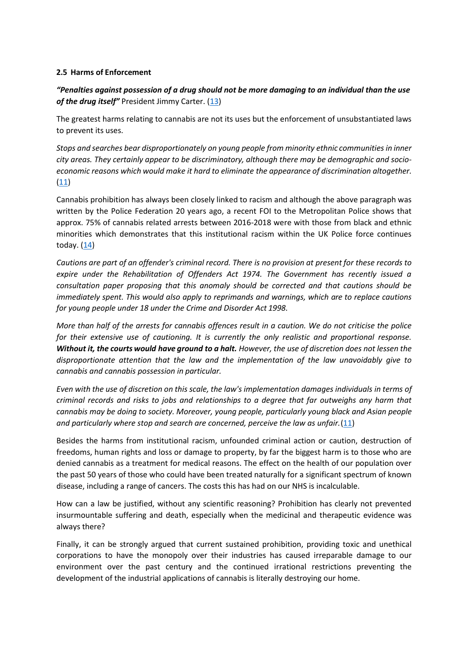### **2.5 Harms of Enforcement**

### *"Penalties against possession of a drug should not be more damaging to an individual than the use*  of the drug itself" President Jimmy Carter. [\(13\)](https://ccguide.org/potent.php?fbclid=IwAR2SoLOu_SEYkzG-8LKLzGU009duF7QfatmHAutfUy5bZHGcJQXGztuAP24)

The greatest harms relating to cannabis are not its uses but the enforcement of unsubstantiated laws to prevent its uses.

*Stops and searches bear disproportionately on young people from minority ethnic communitiesin inner city areas. They certainly appear to be discriminatory, although there may be demographic and socioeconomic reasons which would make it hard to eliminate the appearance of discrimination altogether.*  [\(11\)](http://www.druglibrary.org/schaffer/Library/studies/runciman/pf7.htm)

Cannabis prohibition has always been closely linked to racism and although the above paragraph was written by the Police Federation 20 years ago, a recent FOI to the Metropolitan Police shows that approx. 75% of cannabis related arrests between 2016-2018 were with those from black and ethnic minorities which demonstrates that this institutional racism within the UK Police force continues today.  $(14)$ 

Cautions are part of an offender's criminal record. There is no provision at present for these records to *expire under the Rehabilitation of Offenders Act 1974. The Government has recently issued a consultation paper proposing that this anomaly should be corrected and that cautions should be immediately spent. This would also apply to reprimands and warnings, which are to replace cautions for young people under 18 under the Crime and Disorder Act 1998.*

*More than half of the arrests for cannabis offences result in a caution. We do not criticise the police for their extensive use of cautioning. It is currently the only realistic and proportional response.*  Without it, the courts would have ground to a halt. However, the use of discretion does not lessen the *disproportionate attention that the law and the implementation of the law unavoidably give to cannabis and cannabis possession in particular.*

*Even with the use of discretion on this scale, the law's implementation damages individuals in terms of criminal records and risks to jobs and relationships to a degree that far outweighs any harm that cannabis may be doing to society. Moreover, young people, particularly young black and Asian people and particularly where stop and search are concerned, perceive the law as unfair.*[\(11\)](http://www.druglibrary.org/schaffer/Library/studies/runciman/pf7.htm)

Besides the harms from institutional racism, unfounded criminal action or caution, destruction of freedoms, human rights and loss or damage to property, by far the biggest harm is to those who are denied cannabis as a treatment for medical reasons. The effect on the health of our population over the past 50 years of those who could have been treated naturally for a significant spectrum of known disease, including a range of cancers. The costs this has had on our NHS is incalculable.

How can a law be justified, without any scientific reasoning? Prohibition has clearly not prevented insurmountable suffering and death, especially when the medicinal and therapeutic evidence was always there?

Finally, it can be strongly argued that current sustained prohibition, providing toxic and unethical corporations to have the monopoly over their industries has caused irreparable damage to our environment over the past century and the continued irrational restrictions preventing the development of the industrial applications of cannabis is literally destroying our home.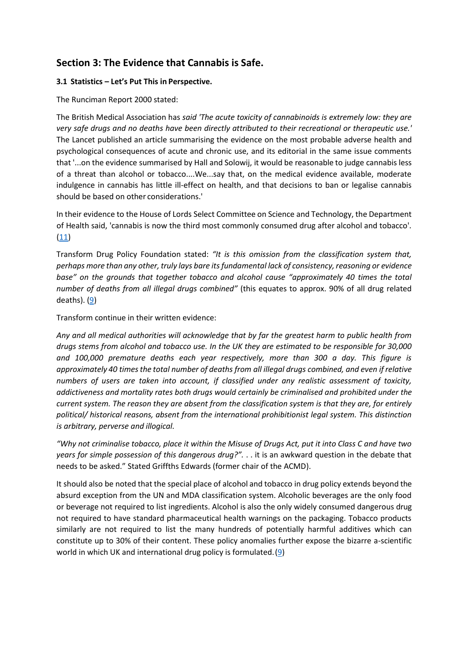# **Section 3: The Evidence that Cannabis is Safe.**

### **3.1 Statistics – Let's Put This in Perspective.**

The Runciman Report 2000 stated:

The British Medical Association has *said 'The acute toxicity of cannabinoids is extremely low: they are very safe drugs and no deaths have been directly attributed to their recreational or therapeutic use.'*  The Lancet published an article summarising the evidence on the most probable adverse health and psychological consequences of acute and chronic use, and its editorial in the same issue comments that '...on the evidence summarised by Hall and Solowij, it would be reasonable to judge cannabis less of a threat than alcohol or tobacco....We...say that, on the medical evidence available, moderate indulgence in cannabis has little ill-effect on health, and that decisions to ban or legalise cannabis should be based on other considerations.'

In their evidence to the House of Lords Select Committee on Science and Technology, the Department of Health said, 'cannabis is now the third most commonly consumed drug after alcohol and tobacco'.  $(11)$ 

Transform Drug Policy Foundation stated: *"It is this omission from the classification system that, perhaps more than any other, truly lays bare itsfundamental lack of consistency,reasoning or evidence base" on the grounds that together tobacco and alcohol cause "approximately 40 times the total number of deaths from all illegal drugs combined"* (this equates to approx. 90% of all drug related deaths). [\(9\)](https://publications.parliament.uk/pa/cm200506/cmselect/cmsctech/1031/1031.pdf)

Transform continue in their written evidence:

*Any and all medical authorities will acknowledge that by far the greatest harm to public health from drugs stems from alcohol and tobacco use. In the UK they are estimated to be responsible for 30,000 and 100,000 premature deaths each year respectively, more than 300 a day. This figure is approximately 40 timesthe total number of deaths from all illegal drugs combined, and even if relative numbers of users are taken into account, if classified under any realistic assessment of toxicity, addictiveness and mortality rates both drugs would certainly be criminalised and prohibited under the current system. The reason they are absent from the classification system is that they are, for entirely political/ historical reasons, absent from the international prohibitionist legal system. This distinction is arbitrary, perverse and illogical.*

*"Why not criminalise tobacco, place it within the Misuse of Drugs Act, put it into Class C and have two years for simple possession of this dangerous drug?".* . . it is an awkward question in the debate that needs to be asked." Stated Griffths Edwards (former chair of the ACMD).

It should also be noted that the special place of alcohol and tobacco in drug policy extends beyond the absurd exception from the UN and MDA classification system. Alcoholic beverages are the only food or beverage not required to list ingredients. Alcohol is also the only widely consumed dangerous drug not required to have standard pharmaceutical health warnings on the packaging. Tobacco products similarly are not required to list the many hundreds of potentially harmful additives which can constitute up to 30% of their content. These policy anomalies further expose the bizarre a-scientific world in which UK and international drug policy is formulated.[\(9\)](https://publications.parliament.uk/pa/cm200506/cmselect/cmsctech/1031/1031.pdf)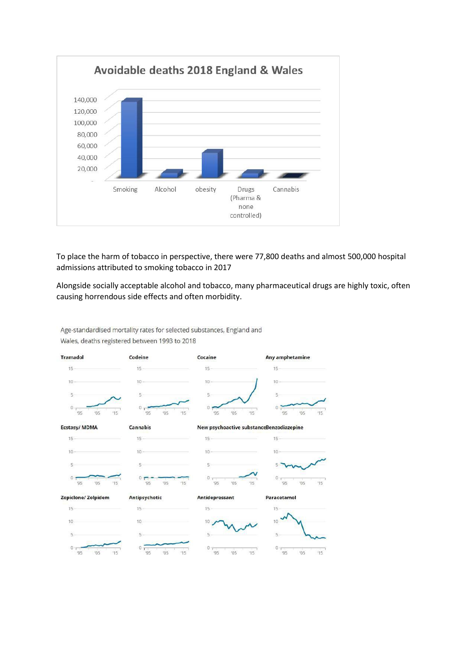

To place the harm of tobacco in perspective, there were 77,800 deaths and almost 500,000 hospital admissions attributed to smoking tobacco in 2017

Alongside socially acceptable alcohol and tobacco, many pharmaceutical drugs are highly toxic, often causing horrendous side effects and often morbidity.

Age-standardised mortality rates for selected substances, England and Wales, deaths registered between 1993 to 2018

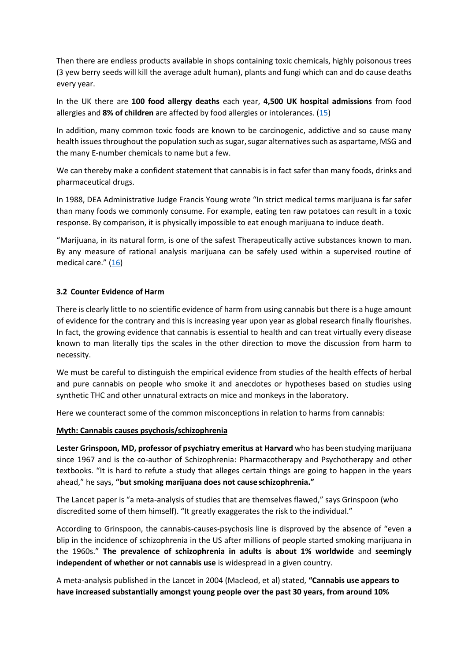Then there are endless products available in shops containing toxic chemicals, highly poisonous trees (3 yew berry seeds will kill the average adult human), plants and fungi which can and do cause deaths every year.

In the UK there are **100 food allergy deaths** each year, **4,500 UK hospital admissions** from food allergies and **8% of children** are affected by food allergies or intolerances. [\(15\)](https://onlinefirstaid.com/allergy-suffers/)

In addition, many common toxic foods are known to be carcinogenic, addictive and so cause many health issues throughout the population such as sugar, sugar alternatives such as aspartame, MSG and the many E-number chemicals to name but a few.

We can thereby make a confident statement that cannabis is in fact safer than many foods, drinks and pharmaceutical drugs.

In 1988, DEA Administrative Judge Francis Young wrote "In strict medical terms marijuana is far safer than many foods we commonly consume. For example, eating ten raw potatoes can result in a toxic response. By comparison, it is physically impossible to eat enough marijuana to induce death.

"Marijuana, in its natural form, is one of the safest Therapeutically active substances known to man. By any measure of rational analysis marijuana can be safely used within a supervised routine of medical care."  $(16)$  $(16)$ 

### **3.2 Counter Evidence of Harm**

There is clearly little to no scientific evidence of harm from using cannabis but there is a huge amount of evidence for the contrary and this is increasing year upon year as global research finally flourishes. In fact, the growing evidence that cannabis is essential to health and can treat virtually every disease known to man literally tips the scales in the other direction to move the discussion from harm to necessity.

We must be careful to distinguish the empirical evidence from studies of the health effects of herbal and pure cannabis on people who smoke it and anecdotes or hypotheses based on studies using synthetic THC and other unnatural extracts on mice and monkeys in the laboratory.

Here we counteract some of the common misconceptions in relation to harms from cannabis:

### **Myth: Cannabis causes psychosis/schizophrenia**

**Lester Grinspoon, MD, professor of psychiatry emeritus at Harvard** who has been studying marijuana since 1967 and is the co-author of Schizophrenia: Pharmacotherapy and Psychotherapy and other textbooks. "It is hard to refute a study that alleges certain things are going to happen in the years ahead," he says, **"but smoking marijuana does not cause schizophrenia."**

The Lancet paper is "a meta-analysis of studies that are themselves flawed," says Grinspoon (who discredited some of them himself). "It greatly exaggerates the risk to the individual."

According to Grinspoon, the cannabis-causes-psychosis line is disproved by the absence of "even a blip in the incidence of schizophrenia in the US after millions of people started smoking marijuana in the 1960s." **The prevalence of schizophrenia in adults is about 1% worldwide** and **seemingly independent of whether or not cannabis use** is widespread in a given country.

A meta-analysis published in the Lancet in 2004 (Macleod, et al) stated, **"Cannabis use appears to have increased substantially amongst young people over the past 30 years, from around 10%**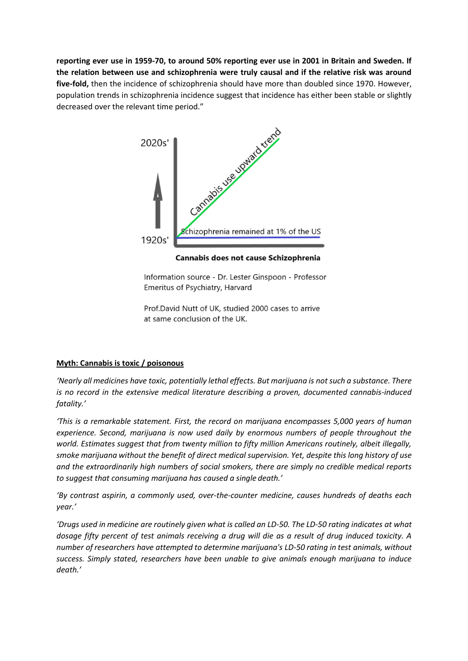**reporting ever use in 1959-70, to around 50% reporting ever use in 2001 in Britain and Sweden. If the relation between use and schizophrenia were truly causal and if the relative risk was around five-fold,** then the incidence of schizophrenia should have more than doubled since 1970. However, population trends in schizophrenia incidence suggest that incidence has either been stable or slightly decreased over the relevant time period."



Cannabis does not cause Schizophrenia

Information source - Dr. Lester Ginspoon - Professor Emeritus of Psychiatry, Harvard

Prof.David Nutt of UK, studied 2000 cases to arrive at same conclusion of the UK.

### **Myth: Cannabis is toxic / poisonous**

*'Nearly all medicines have toxic, potentially lethal effects. But marijuana is not such a substance. There is no record in the extensive medical literature describing a proven, documented cannabis-induced fatality.'*

*'This is a remarkable statement. First, the record on marijuana encompasses 5,000 years of human experience. Second, marijuana is now used daily by enormous numbers of people throughout the world. Estimates suggest that from twenty million to fifty million Americans routinely, albeit illegally, smoke marijuana without the benefit of direct medical supervision. Yet, despite this long history of use and the extraordinarily high numbers of social smokers, there are simply no credible medical reports to suggest that consuming marijuana has caused a single death.'*

*'By contrast aspirin, a commonly used, over-the-counter medicine, causes hundreds of deaths each year.'*

'Drugs used in medicine are routinely given what is called an LD-50. The LD-50 rating indicates at what *dosage fifty percent of test animals receiving a drug will die as a result of drug induced toxicity. A number of researchers have attempted to determine marijuana's LD-50 rating in test animals, without success. Simply stated, researchers have been unable to give animals enough marijuana to induce death.'*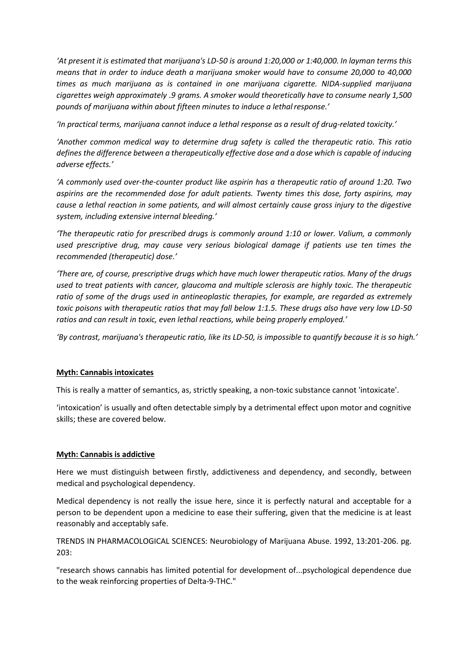*'At present it is estimated that marijuana's LD-50 is around 1:20,000 or 1:40,000. In layman terms this means that in order to induce death a marijuana smoker would have to consume 20,000 to 40,000 times as much marijuana as is contained in one marijuana cigarette. NIDA-supplied marijuana cigarettes weigh approximately .9 grams. A smoker would theoretically have to consume nearly 1,500 pounds of marijuana within about fifteen minutes to induce a lethalresponse.'*

*'In practical terms, marijuana cannot induce a lethal response as a result of drug-related toxicity.'*

*'Another common medical way to determine drug safety is called the therapeutic ratio. This ratio defines the difference between a therapeutically effective dose and a dose which is capable of inducing adverse effects.'*

*'A commonly used over-the-counter product like aspirin has a therapeutic ratio of around 1:20. Two aspirins are the recommended dose for adult patients. Twenty times this dose, forty aspirins, may cause a lethal reaction in some patients, and will almost certainly cause gross injury to the digestive system, including extensive internal bleeding.'*

*'The therapeutic ratio for prescribed drugs is commonly around 1:10 or lower. Valium, a commonly used prescriptive drug, may cause very serious biological damage if patients use ten times the recommended (therapeutic) dose.'*

*'There are, of course, prescriptive drugs which have much lower therapeutic ratios. Many of the drugs used to treat patients with cancer, glaucoma and multiple sclerosis are highly toxic. The therapeutic ratio of some of the drugs used in antineoplastic therapies, for example, are regarded as extremely toxic poisons with therapeutic ratios that may fall below 1:1.5. These drugs also have very low LD-50 ratios and can result in toxic, even lethal reactions, while being properly employed.'*

*'By contrast, marijuana's therapeutic ratio, like its LD-50, is impossible to quantify because it is so high.'*

### **Myth: Cannabis intoxicates**

This is really a matter of semantics, as, strictly speaking, a non-toxic substance cannot 'intoxicate'.

'intoxication' is usually and often detectable simply by a detrimental effect upon motor and cognitive skills; these are covered below.

### **Myth: Cannabis is addictive**

Here we must distinguish between firstly, addictiveness and dependency, and secondly, between medical and psychological dependency.

Medical dependency is not really the issue here, since it is perfectly natural and acceptable for a person to be dependent upon a medicine to ease their suffering, given that the medicine is at least reasonably and acceptably safe.

TRENDS IN PHARMACOLOGICAL SCIENCES: Neurobiology of Marijuana Abuse. 1992, 13:201-206. pg. 203:

"research shows cannabis has limited potential for development of...psychological dependence due to the weak reinforcing properties of Delta-9-THC."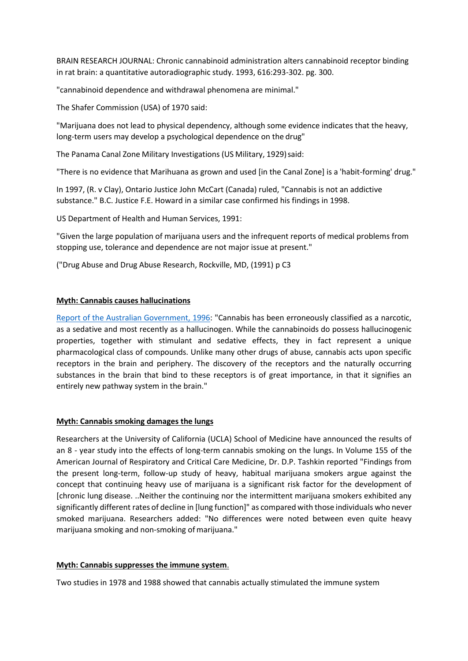BRAIN RESEARCH JOURNAL: Chronic cannabinoid administration alters cannabinoid receptor binding in rat brain: a quantitative autoradiographic study. 1993, 616:293-302. pg. 300.

"cannabinoid dependence and withdrawal phenomena are minimal."

The Shafer Commission (USA) of 1970 said:

"Marijuana does not lead to physical dependency, although some evidence indicates that the heavy, long-term users may develop a psychological dependence on the drug"

The Panama Canal Zone Military Investigations (US Military, 1929) said:

"There is no evidence that Marihuana as grown and used [in the Canal Zone] is a 'habit-forming' drug."

In 1997, (R. v Clay), Ontario Justice John McCart (Canada) ruled, "Cannabis is not an addictive substance." B.C. Justice F.E. Howard in a similar case confirmed his findings in 1998.

US Department of Health and Human Services, 1991:

"Given the large population of marijuana users and the infrequent reports of medical problems from stopping use, tolerance and dependence are not major issue at present."

("Drug Abuse and Drug Abuse Research, Rockville, MD, (1991) p C3

### **Myth: Cannabis causes hallucinations**

Report of the Australian Government, 1996: "Cannabis has been erroneously classified as a narcotic, as a sedative and most recently as a hallucinogen. While the cannabinoids do possess hallucinogenic properties, together with stimulant and sedative effects, they in fact represent a unique pharmacological class of compounds. Unlike many other drugs of abuse, cannabis acts upon specific receptors in the brain and periphery. The discovery of the receptors and the naturally occurring substances in the brain that bind to these receptors is of great importance, in that it signifies an entirely new pathway system in the brain."

### **Myth: Cannabis smoking damages the lungs**

Researchers at the University of California (UCLA) School of Medicine have announced the results of an 8 - year study into the effects of long-term cannabis smoking on the lungs. In Volume 155 of the American Journal of Respiratory and Critical Care Medicine, Dr. D.P. Tashkin reported "Findings from the present long-term, follow-up study of heavy, habitual marijuana smokers argue against the concept that continuing heavy use of marijuana is a significant risk factor for the development of [chronic lung disease. ..Neither the continuing nor the intermittent marijuana smokers exhibited any significantly different rates of decline in [lung function]" as compared with those individuals who never smoked marijuana. Researchers added: "No differences were noted between even quite heavy marijuana smoking and non-smoking of marijuana."

### **Myth: Cannabis suppresses the immune system**.

Two studies in 1978 and 1988 showed that cannabis actually stimulated the immune system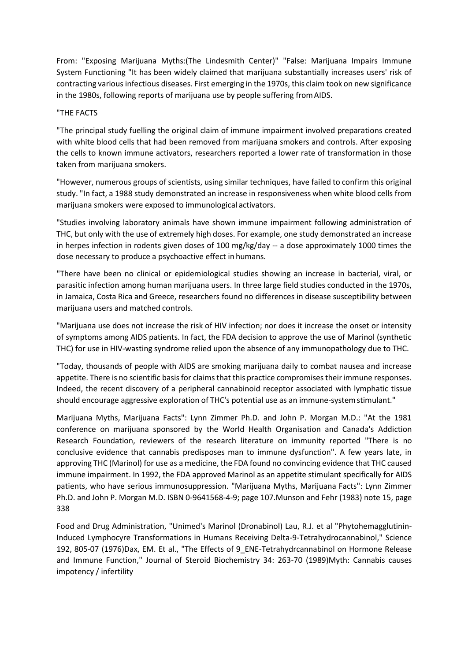From: "Exposing Marijuana Myths:(The Lindesmith Center)" "False: Marijuana Impairs Immune System Functioning "It has been widely claimed that marijuana substantially increases users' risk of contracting various infectious diseases. First emerging in the 1970s, this claim took on new significance in the 1980s, following reports of marijuana use by people suffering fromAIDS.

### "THE FACTS

"The principal study fuelling the original claim of immune impairment involved preparations created with white blood cells that had been removed from marijuana smokers and controls. After exposing the cells to known immune activators, researchers reported a lower rate of transformation in those taken from marijuana smokers.

"However, numerous groups of scientists, using similar techniques, have failed to confirm this original study. "In fact, a 1988 study demonstrated an increase in responsiveness when white blood cells from marijuana smokers were exposed to immunological activators.

"Studies involving laboratory animals have shown immune impairment following administration of THC, but only with the use of extremely high doses. For example, one study demonstrated an increase in herpes infection in rodents given doses of 100 mg/kg/day -- a dose approximately 1000 times the dose necessary to produce a psychoactive effect in humans.

"There have been no clinical or epidemiological studies showing an increase in bacterial, viral, or parasitic infection among human marijuana users. In three large field studies conducted in the 1970s, in Jamaica, Costa Rica and Greece, researchers found no differences in disease susceptibility between marijuana users and matched controls.

"Marijuana use does not increase the risk of HIV infection; nor does it increase the onset or intensity of symptoms among AIDS patients. In fact, the FDA decision to approve the use of Marinol (synthetic THC) for use in HIV-wasting syndrome relied upon the absence of any immunopathology due to THC.

"Today, thousands of people with AIDS are smoking marijuana daily to combat nausea and increase appetite. There is no scientific basis for claims that this practice compromises their immune responses. Indeed, the recent discovery of a peripheral cannabinoid receptor associated with lymphatic tissue should encourage aggressive exploration of THC's potential use as an immune-systemstimulant."

Marijuana Myths, Marijuana Facts": Lynn Zimmer Ph.D. and John P. Morgan M.D.: "At the 1981 conference on marijuana sponsored by the World Health Organisation and Canada's Addiction Research Foundation, reviewers of the research literature on immunity reported "There is no conclusive evidence that cannabis predisposes man to immune dysfunction". A few years late, in approving THC (Marinol) for use as a medicine, the FDA found no convincing evidence that THC caused immune impairment. In 1992, the FDA approved Marinol as an appetite stimulant specifically for AIDS patients, who have serious immunosuppression. "Marijuana Myths, Marijuana Facts": Lynn Zimmer Ph.D. and John P. Morgan M.D. ISBN 0-9641568-4-9; page 107.Munson and Fehr (1983) note 15, page 338

Food and Drug Administration, "Unimed's Marinol (Dronabinol) Lau, R.J. et al "Phytohemagglutinin-Induced Lymphocyre Transformations in Humans Receiving Delta-9-Tetrahydrocannabinol," Science 192, 805-07 (1976)Dax, EM. Et al., "The Effects of 9\_ENE-Tetrahydrcannabinol on Hormone Release and Immune Function," Journal of Steroid Biochemistry 34: 263-70 (1989)Myth: Cannabis causes impotency / infertility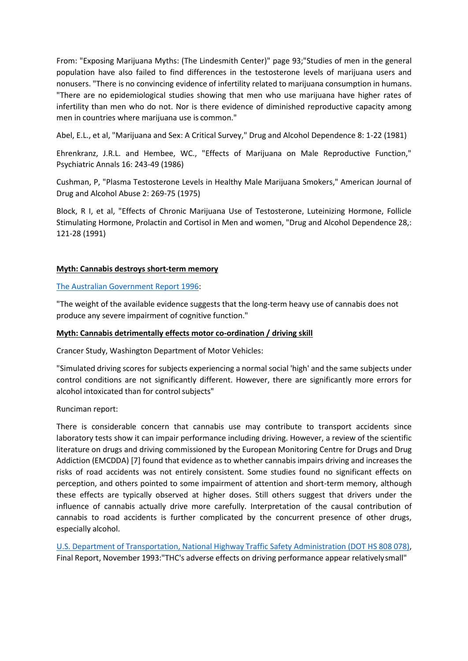From: "Exposing Marijuana Myths: (The Lindesmith Center)" page 93;"Studies of men in the general population have also failed to find differences in the testosterone levels of marijuana users and nonusers. "There is no convincing evidence of infertility related to marijuana consumption in humans. "There are no epidemiological studies showing that men who use marijuana have higher rates of infertility than men who do not. Nor is there evidence of diminished reproductive capacity among men in countries where marijuana use is common."

Abel, E.L., et al, "Marijuana and Sex: A Critical Survey," Drug and Alcohol Dependence 8: 1-22 (1981)

Ehrenkranz, J.R.L. and Hembee, WC., "Effects of Marijuana on Male Reproductive Function," Psychiatric Annals 16: 243-49 (1986)

Cushman, P, "Plasma Testosterone Levels in Healthy Male Marijuana Smokers," American Journal of Drug and Alcohol Abuse 2: 269-75 (1975)

Block, R I, et al, "Effects of Chronic Marijuana Use of Testosterone, Luteinizing Hormone, Follicle Stimulating Hormone, Prolactin and Cortisol in Men and women, "Drug and Alcohol Dependence 28,: 121-28 (1991)

### **Myth: Cannabis destroys short-term memory**

### [The Australian Government Report 1996:](http://www.druglibrary.org/sschaffer/hemp/medical/HOME.HTM)

"The weight of the available evidence suggests that the long-term heavy use of cannabis does not produce any severe impairment of cognitive function."

### **Myth: Cannabis detrimentally effects motor co-ordination / driving skill**

Crancer Study, Washington Department of Motor Vehicles:

"Simulated driving scores for subjects experiencing a normal social 'high' and the same subjects under control conditions are not significantly different. However, there are significantly more errors for alcohol intoxicated than for control subjects"

### Runciman report:

There is considerable concern that cannabis use may contribute to transport accidents since laboratory tests show it can impair performance including driving. However, a review of the scientific literature on drugs and driving commissioned by the European Monitoring Centre for Drugs and Drug Addiction (EMCDDA) [7] found that evidence as to whether cannabis impairs driving and increases the risks of road accidents was not entirely consistent. Some studies found no significant effects on perception, and others pointed to some impairment of attention and short-term memory, although these effects are typically observed at higher doses. Still others suggest that drivers under the influence of cannabis actually drive more carefully. Interpretation of the causal contribution of cannabis to road accidents is further complicated by the concurrent presence of other drugs, especially alcohol.

U.S. Department of [Transportation,](http://ccguide.org/driving.php) National Highway Traffic Safety Administration (DOT HS 808 078), Final Report, November 1993:"THC's adverse effects on driving performance appear relativelysmall"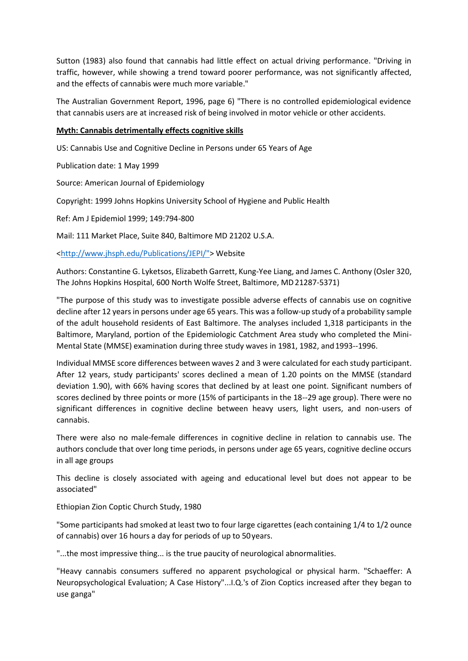Sutton (1983) also found that cannabis had little effect on actual driving performance. "Driving in traffic, however, while showing a trend toward poorer performance, was not significantly affected, and the effects of cannabis were much more variable."

The Australian Government Report, 1996, page 6) "There is no controlled epidemiological evidence that cannabis users are at increased risk of being involved in motor vehicle or other accidents.

### **Myth: Cannabis detrimentally effects cognitive skills**

US: Cannabis Use and Cognitive Decline in Persons under 65 Years of Age

Publication date: 1 May 1999

Source: American Journal of Epidemiology

Copyright: 1999 Johns Hopkins University School of Hygiene and Public Health

Ref: Am J Epidemiol 1999; 149:794-800

Mail: 111 Market Place, Suite 840, Baltimore MD 21202 U.S.A.

[<http://www.jhsph.edu/Publications/JEPI/">](http://www.jhsph.edu/Publications/JEPI/) Website

Authors: Constantine G. Lyketsos, Elizabeth Garrett, Kung-Yee Liang, and James C. Anthony (Osler 320, The Johns Hopkins Hospital, 600 North Wolfe Street, Baltimore, MD21287-5371)

"The purpose of this study was to investigate possible adverse effects of cannabis use on cognitive decline after 12 years in persons under age 65 years. This was a follow-up study of a probability sample of the adult household residents of East Baltimore. The analyses included 1,318 participants in the Baltimore, Maryland, portion of the Epidemiologic Catchment Area study who completed the Mini-Mental State (MMSE) examination during three study waves in 1981, 1982, and 1993--1996.

Individual MMSE score differences between waves 2 and 3 were calculated for each study participant. After 12 years, study participants' scores declined a mean of 1.20 points on the MMSE (standard deviation 1.90), with 66% having scores that declined by at least one point. Significant numbers of scores declined by three points or more (15% of participants in the 18--29 age group). There were no significant differences in cognitive decline between heavy users, light users, and non-users of cannabis.

There were also no male-female differences in cognitive decline in relation to cannabis use. The authors conclude that over long time periods, in persons under age 65 years, cognitive decline occurs in all age groups

This decline is closely associated with ageing and educational level but does not appear to be associated"

Ethiopian Zion Coptic Church Study, 1980

"Some participants had smoked at least two to four large cigarettes (each containing 1/4 to 1/2 ounce of cannabis) over 16 hours a day for periods of up to 50years.

"...the most impressive thing... is the true paucity of neurological abnormalities.

"Heavy cannabis consumers suffered no apparent psychological or physical harm. "Schaeffer: A Neuropsychological Evaluation; A Case History"...I.Q.'s of Zion Coptics increased after they began to use ganga"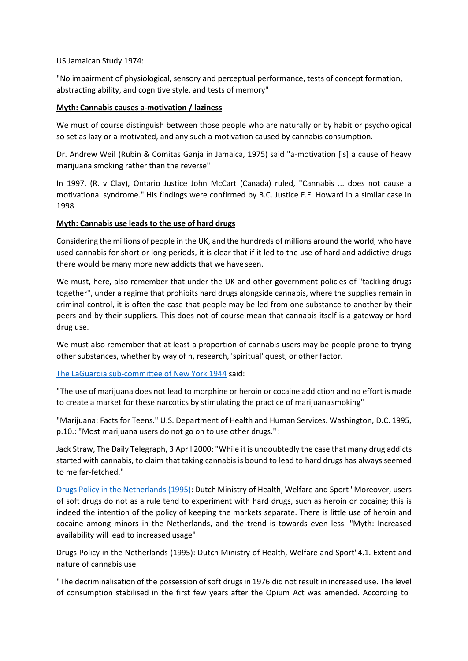US Jamaican Study 1974:

"No impairment of physiological, sensory and perceptual performance, tests of concept formation, abstracting ability, and cognitive style, and tests of memory"

### **Myth: Cannabis causes a-motivation / laziness**

We must of course distinguish between those people who are naturally or by habit or psychological so set as lazy or a-motivated, and any such a-motivation caused by cannabis consumption.

Dr. Andrew Weil (Rubin & Comitas Ganja in Jamaica, 1975) said "a-motivation [is] a cause of heavy marijuana smoking rather than the reverse"

In 1997, (R. v Clay), Ontario Justice John McCart (Canada) ruled, "Cannabis ... does not cause a motivational syndrome." His findings were confirmed by B.C. Justice F.E. Howard in a similar case in 1998

### **Myth: Cannabis use leads to the use of hard drugs**

Considering the millions of people in the UK, and the hundreds of millions around the world, who have used cannabis for short or long periods, it is clear that if it led to the use of hard and addictive drugs there would be many more new addicts that we haveseen.

We must, here, also remember that under the UK and other government policies of "tackling drugs together", under a regime that prohibits hard drugs alongside cannabis, where the supplies remain in criminal control, it is often the case that people may be led from one substance to another by their peers and by their suppliers. This does not of course mean that cannabis itself is a gateway or hard drug use.

We must also remember that at least a proportion of cannabis users may be people prone to trying other substances, whether by way of n, research, 'spiritual' quest, or other factor.

### [The LaGuardia sub-committee of New York 1944](http://www.druglibrary.org/schaffer/Library/studies/lag/lagmenu.htm) said:

"The use of marijuana does not lead to morphine or heroin or cocaine addiction and no effort is made to create a market for these narcotics by stimulating the practice of marijuanasmoking"

"Marijuana: Facts for Teens." U.S. Department of Health and Human Services. Washington, D.C. 1995, p.10.: "Most marijuana users do not go on to use other drugs." :

Jack Straw, The Daily Telegraph, 3 April 2000: "While it is undoubtedly the case that many drug addicts started with cannabis, to claim that taking cannabis is bound to lead to hard drugs has always seemed to me far-fetched."

Drugs Policy in the [Netherlands](http://www.drugtext.nl/reports/wvc) (1995): Dutch Ministry of Health, Welfare and Sport "Moreover, users of soft drugs do not as a rule tend to experiment with hard drugs, such as heroin or cocaine; this is indeed the intention of the policy of keeping the markets separate. There is little use of heroin and cocaine among minors in the Netherlands, and the trend is towards even less. "Myth: Increased availability will lead to increased usage"

Drugs Policy in the Netherlands (1995): Dutch Ministry of Health, Welfare and Sport"4.1. Extent and nature of cannabis use

"The decriminalisation of the possession of soft drugs in 1976 did not result in increased use. The level of consumption stabilised in the first few years after the Opium Act was amended. According to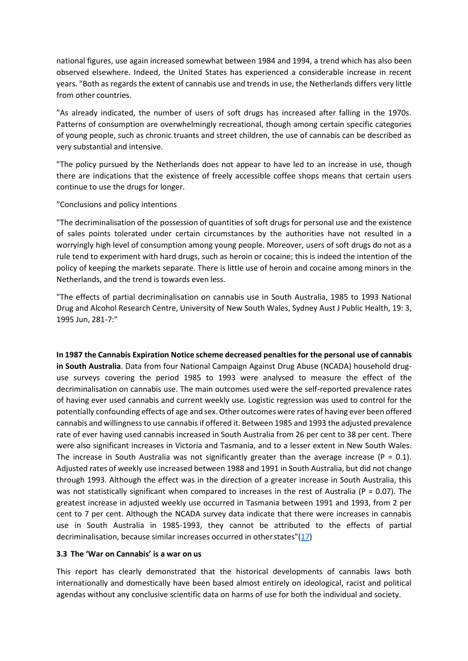national figures, use again increased somewhat between 1984 and 1994, a trend which has also been observed elsewhere. Indeed, the United States has experienced a considerable increase in recent years. "Both as regards the extent of cannabis use and trends in use, the Netherlands differs very little from other countries.

"As already indicated, the number of users of soft drugs has increased after falling in the 1970s. Patterns of consumption are overwhelmingly recreational, though among certain specific categories of young people, such as chronic truants and street children, the use of cannabis can be described as very substantial and intensive.

"The policy pursued by the Netherlands does not appear to have led to an increase in use, though there are indications that the existence of freely accessible coffee shops means that certain users continue to use the drugs for longer.

"Conclusions and policy intentions

"The decriminalisation of the possession of quantities of soft drugs for personal use and the existence of sales points tolerated under certain circumstances by the authorities have not resulted in a worryingly high level of consumption among young people. Moreover, users of soft drugs do not as a rule tend to experiment with hard drugs, such as heroin or cocaine; this is indeed the intention of the policy of keeping the markets separate. There is little use of heroin and cocaine among minors in the Netherlands, and the trend is towards even less.

"The effects of partial decriminalisation on cannabis use in South Australia, 1985 to 1993 National Drug and Alcohol Research Centre, University of New South Wales, Sydney Aust J Public Health, 19: 3, 1995 Jun, 281-7:"

**In 1987 the Cannabis Expiration Notice scheme decreased penalties for the personal use of cannabis in South Australia**. Data from four National Campaign Against Drug Abuse (NCADA) household druguse surveys covering the period 1985 to 1993 were analysed to measure the effect of the decriminalisation on cannabis use. The main outcomes used were the self-reported prevalence rates of having ever used cannabis and current weekly use. Logistic regression was used to control for the potentially confounding effects of age and sex.Other outcomes were rates of having ever been offered cannabis and willingnessto use cannabisif offered it. Between 1985 and 1993 the adjusted prevalence rate of ever having used cannabis increased in South Australia from 26 per cent to 38 per cent. There were also significant increases in Victoria and Tasmania, and to a lesser extent in New South Wales. The increase in South Australia was not significantly greater than the average increase ( $P = 0.1$ ). Adjusted rates of weekly use increased between 1988 and 1991 in South Australia, but did not change through 1993. Although the effect was in the direction of a greater increase in South Australia, this was not statistically significant when compared to increases in the rest of Australia ( $P = 0.07$ ). The greatest increase in adjusted weekly use occurred in Tasmania between 1991 and 1993, from 2 per cent to 7 per cent. Although the NCADA survey data indicate that there were increases in cannabis use in South Australia in 1985-1993, they cannot be attributed to the effects of partial decriminalisation, because similar increases occurred in otherstate[s"\(17\)](https://ccguide.org/safety.php?fbclid=IwAR0tphlQ5_joCIC3mPEIjW5ZQm8zPF7Su-6NStjjHP6TyVXihDP2fCvngk0)

### **3.3 The 'War on Cannabis' is a war on us**

This report has clearly demonstrated that the historical developments of cannabis laws both internationally and domestically have been based almost entirely on ideological, racist and political agendas without any conclusive scientific data on harms of use for both the individual and society.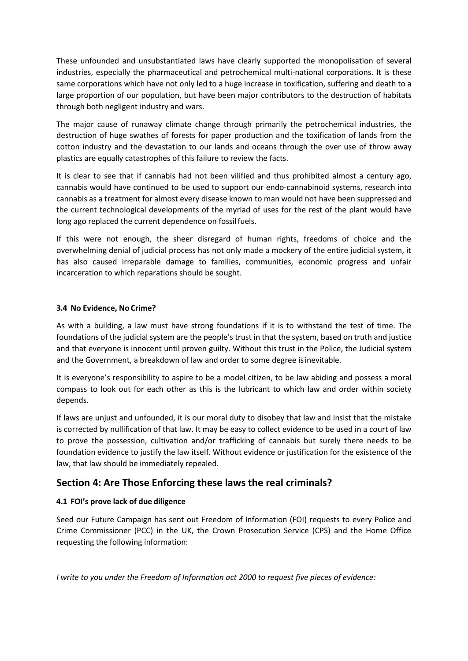These unfounded and unsubstantiated laws have clearly supported the monopolisation of several industries, especially the pharmaceutical and petrochemical multi-national corporations. It is these same corporations which have not only led to a huge increase in toxification, suffering and death to a large proportion of our population, but have been major contributors to the destruction of habitats through both negligent industry and wars.

The major cause of runaway climate change through primarily the petrochemical industries, the destruction of huge swathes of forests for paper production and the toxification of lands from the cotton industry and the devastation to our lands and oceans through the over use of throw away plastics are equally catastrophes of this failure to review the facts.

It is clear to see that if cannabis had not been vilified and thus prohibited almost a century ago, cannabis would have continued to be used to support our endo-cannabinoid systems, research into cannabis as a treatment for almost every disease known to man would not have been suppressed and the current technological developments of the myriad of uses for the rest of the plant would have long ago replaced the current dependence on fossilfuels.

If this were not enough, the sheer disregard of human rights, freedoms of choice and the overwhelming denial of judicial process has not only made a mockery of the entire judicial system, it has also caused irreparable damage to families, communities, economic progress and unfair incarceration to which reparations should be sought.

### **3.4 No Evidence, No Crime?**

As with a building, a law must have strong foundations if it is to withstand the test of time. The foundations of the judicial system are the people's trust in that the system, based on truth and justice and that everyone is innocent until proven guilty. Without this trust in the Police, the Judicial system and the Government, a breakdown of law and order to some degree isinevitable.

It is everyone's responsibility to aspire to be a model citizen, to be law abiding and possess a moral compass to look out for each other as this is the lubricant to which law and order within society depends.

If laws are unjust and unfounded, it is our moral duty to disobey that law and insist that the mistake is corrected by nullification of that law. It may be easy to collect evidence to be used in a court of law to prove the possession, cultivation and/or trafficking of cannabis but surely there needs to be foundation evidence to justify the law itself. Without evidence or justification for the existence of the law, that law should be immediately repealed.

# **Section 4: Are Those Enforcing these laws the real criminals?**

### **4.1 FOI's prove lack of due diligence**

Seed our Future Campaign has sent out Freedom of Information (FOI) requests to every Police and Crime Commissioner (PCC) in the UK, the Crown Prosecution Service (CPS) and the Home Office requesting the following information:

*I write to you under the Freedom of Information act 2000 to request five pieces of evidence:*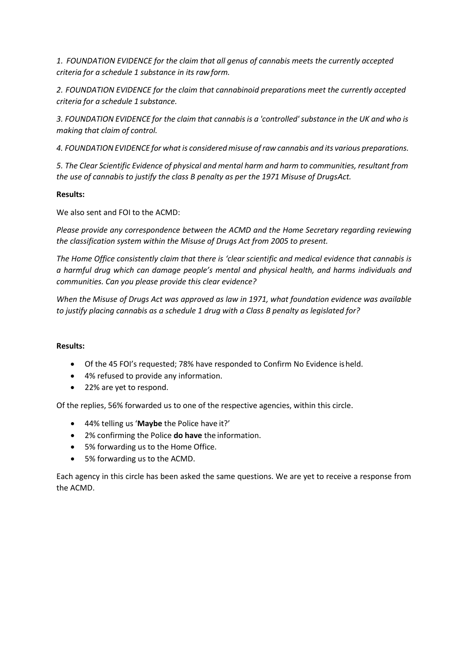*1. FOUNDATION EVIDENCE for the claim that all genus of cannabis meets the currently accepted criteria for a schedule 1 substance in its raw form.*

*2. FOUNDATION EVIDENCE for the claim that cannabinoid preparations meet the currently accepted criteria for a schedule 1 substance.*

*3. FOUNDATION EVIDENCE for the claim that cannabis is a 'controlled'substance in the UK and who is making that claim of control.*

*4. FOUNDATIONEVIDENCE for what is consideredmisuse ofraw cannabis and its various preparations.*

*5. The Clear Scientific Evidence of physical and mental harm and harm to communities, resultant from the use of cannabis to justify the class B penalty as per the 1971 Misuse of DrugsAct.*

### **Results:**

We also sent and FOI to the ACMD:

*Please provide any correspondence between the ACMD and the Home Secretary regarding reviewing the classification system within the Misuse of Drugs Act from 2005 to present.*

*The Home Office consistently claim that there is 'clear scientific and medical evidence that cannabis is a harmful drug which can damage people's mental and physical health, and harms individuals and communities. Can you please provide this clear evidence?*

*When the Misuse of Drugs Act was approved as law in 1971, what foundation evidence was available to justify placing cannabis as a schedule 1 drug with a Class B penalty as legislated for?*

### **Results:**

- Of the 45 FOI's requested; 78% have responded to Confirm No Evidence isheld.
- 4% refused to provide any information.
- 22% are yet to respond.

Of the replies, 56% forwarded us to one of the respective agencies, within this circle.

- 44% telling us '**Maybe** the Police have it?'
- 2% confirming the Police **do have** the information.
- 5% forwarding us to the Home Office.
- 5% forwarding us to the ACMD.

Each agency in this circle has been asked the same questions. We are yet to receive a response from the ACMD.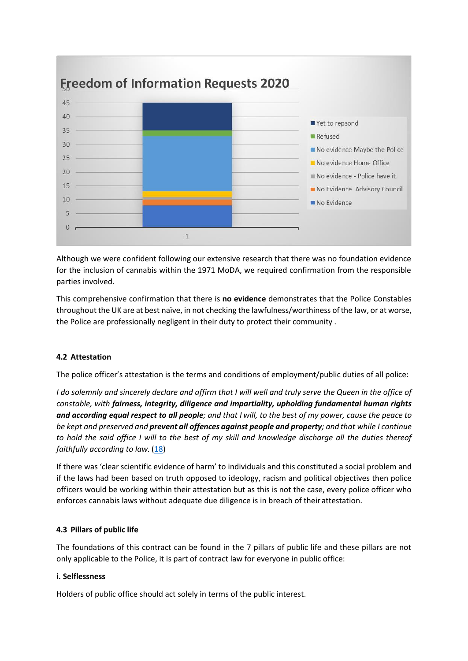

Although we were confident following our extensive research that there was no foundation evidence for the inclusion of cannabis within the 1971 MoDA, we required confirmation from the responsible parties involved.

This comprehensive confirmation that there is **no evidence** demonstrates that the Police Constables throughout the UK are at best naïve, in not checking the lawfulness/worthiness ofthe law, or at worse, the Police are professionally negligent in their duty to protect their community .

### **4.2 Attestation**

The police officer's attestation is the terms and conditions of employment/public duties of all police:

*I* do solemnly and sincerely declare and affirm that I will well and truly serve the Queen in the office of *constable, with fairness, integrity, diligence and impartiality, upholding fundamental human rights*  and according equal respect to all people; and that I will, to the best of my power, cause the peace to be kept and preserved and **prevent all offences against people and property**; and that while I continue *to hold the said office I will to the best of my skill and knowledge discharge all the duties thereof faithfully according to law.* [\(18\)](https://www.polfed.org/media/14239/the-office-of-constable-with-links-2018.pdf?fbclid=IwAR0jtFb-bYEvJVtQiZoUdMp_F4LxRAwck9cO4rOBhYDnxqebn32L8x5CWsY)

If there was 'clear scientific evidence of harm' to individuals and this constituted a social problem and if the laws had been based on truth opposed to ideology, racism and political objectives then police officers would be working within their attestation but as this is not the case, every police officer who enforces cannabis laws without adequate due diligence is in breach of their attestation.

### **4.3 Pillars of public life**

The foundations of this contract can be found in the 7 pillars of public life and these pillars are not only applicable to the Police, it is part of contract law for everyone in public office:

### **i. Selflessness**

Holders of public office should act solely in terms of the public interest.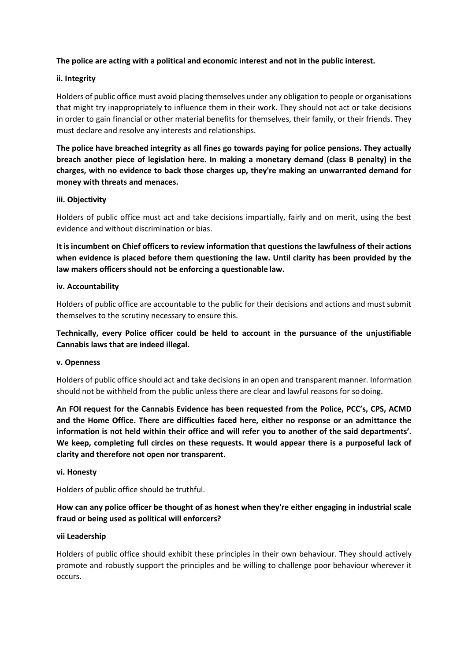### **The police are acting with a political and economic interest and not in the public interest.**

### **ii. Integrity**

Holders of public office must avoid placing themselves under any obligation to people or organisations that might try inappropriately to influence them in their work. They should not act or take decisions in order to gain financial or other material benefits for themselves, their family, or their friends. They must declare and resolve any interests and relationships.

**The police have breached integrity as all fines go towards paying for police pensions. They actually breach another piece of legislation here. In making a monetary demand (class B penalty) in the charges, with no evidence to back those charges up, they're making an unwarranted demand for money with threats and menaces.**

### **iii. Objectivity**

Holders of public office must act and take decisions impartially, fairly and on merit, using the best evidence and without discrimination or bias.

**It isincumbent on Chief officers to review information that questionsthe lawfulness of their actions when evidence is placed before them questioning the law. Until clarity has been provided by the law makers officers should not be enforcing a questionable law.**

### **iv. Accountability**

Holders of public office are accountable to the public for their decisions and actions and must submit themselves to the scrutiny necessary to ensure this.

### **Technically, every Police officer could be held to account in the pursuance of the unjustifiable Cannabis laws that are indeed illegal.**

### **v. Openness**

Holders of public office should act and take decisions in an open and transparent manner. Information should not be withheld from the public unless there are clear and lawful reasons for so doing.

**An FOI request for the Cannabis Evidence has been requested from the Police, PCC's, CPS, ACMD and the Home Office. There are difficulties faced here, either no response or an admittance the information is not held within their office and will refer you to another of the said departments'. We keep, completing full circles on these requests. It would appear there is a purposeful lack of clarity and therefore not open nor transparent.**

### **vi. Honesty**

Holders of public office should be truthful.

### **How can any police officer be thought of as honest when they're either engaging in industrial scale fraud or being used as political will enforcers?**

### **vii Leadership**

Holders of public office should exhibit these principles in their own behaviour. They should actively promote and robustly support the principles and be willing to challenge poor behaviour wherever it occurs.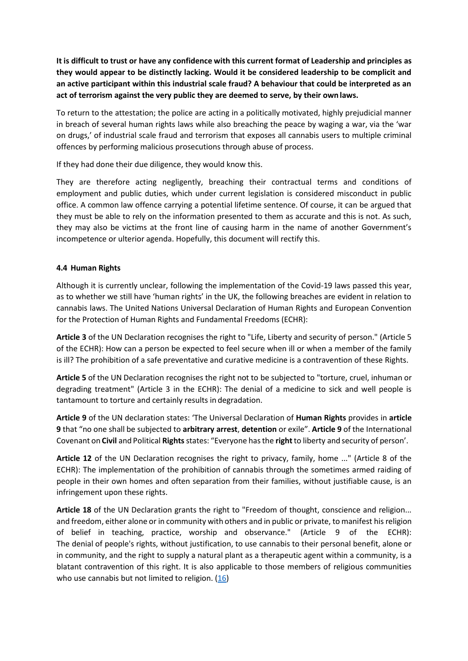It is difficult to trust or have any confidence with this current format of Leadership and principles as **they would appear to be distinctly lacking. Would it be considered leadership to be complicit and an active participant within this industrial scale fraud? A behaviour that could be interpreted as an act of terrorism against the very public they are deemed to serve, by their own laws.**

To return to the attestation; the police are acting in a politically motivated, highly prejudicial manner in breach of several human rights laws while also breaching the peace by waging a war, via the 'war on drugs,' of industrial scale fraud and terrorism that exposes all cannabis users to multiple criminal offences by performing malicious prosecutions through abuse of process.

If they had done their due diligence, they would know this.

They are therefore acting negligently, breaching their contractual terms and conditions of employment and public duties, which under current legislation is considered misconduct in public office. A common law offence carrying a potential lifetime sentence. Of course, it can be argued that they must be able to rely on the information presented to them as accurate and this is not. As such, they may also be victims at the front line of causing harm in the name of another Government's incompetence or ulterior agenda. Hopefully, this document will rectify this.

### **4.4 Human Rights**

Although it is currently unclear, following the implementation of the Covid-19 laws passed this year, as to whether we still have 'human rights' in the UK, the following breaches are evident in relation to cannabis laws. The United Nations Universal Declaration of Human Rights and European Convention for the Protection of Human Rights and Fundamental Freedoms (ECHR):

**Article 3** of the UN Declaration recognises the right to "Life, Liberty and security of person." (Article 5 of the ECHR): How can a person be expected to feel secure when ill or when a member of the family is ill? The prohibition of a safe preventative and curative medicine is a contravention of these Rights.

**Article 5** of the UN Declaration recognises the right not to be subjected to "torture, cruel, inhuman or degrading treatment" (Article 3 in the ECHR): The denial of a medicine to sick and well people is tantamount to torture and certainly results in degradation.

**Article 9** of the UN declaration states: 'The Universal Declaration of **Human Rights** provides in **article 9** that "no one shall be subjected to **arbitrary arrest**, **detention** or exile". **Article 9** of the International Covenant on **Civil** and Political **Rights**states: "Everyone hasthe **right**to liberty and security of person'.

**Article 12** of the UN Declaration recognises the right to privacy, family, home ..." (Article 8 of the ECHR): The implementation of the prohibition of cannabis through the sometimes armed raiding of people in their own homes and often separation from their families, without justifiable cause, is an infringement upon these rights.

**Article 18** of the UN Declaration grants the right to "Freedom of thought, conscience and religion... and freedom, either alone or in community with others and in public or private, to manifest hisreligion of belief in teaching, practice, worship and observance." (Article 9 of the ECHR): The denial of people's rights, without justification, to use cannabis to their personal benefit, alone or in community, and the right to supply a natural plant as a therapeutic agent within a community, is a blatant contravention of this right. It is also applicable to those members of religious communities who use cannabis but not limited to religion.  $(16)$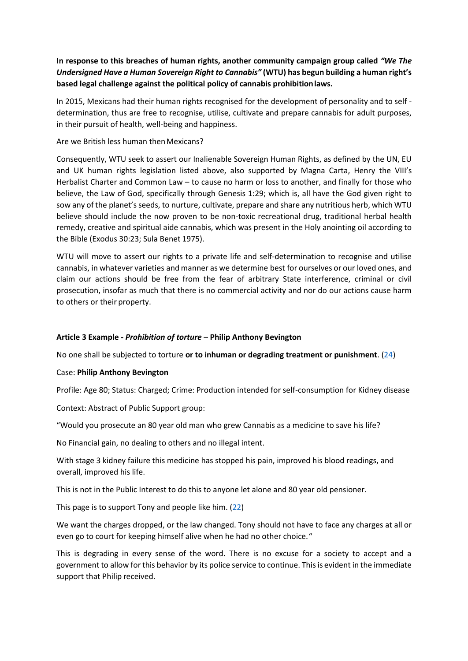**In response to this breaches of human rights, another community campaign group called** *"We The Undersigned Have a Human Sovereign Right to Cannabis"* **(WTU) has begun building a human right's based legal challenge against the political policy of cannabis prohibitionlaws.**

In 2015, Mexicans had their human rights recognised for the development of personality and to self determination, thus are free to recognise, utilise, cultivate and prepare cannabis for adult purposes, in their pursuit of health, well-being and happiness.

### Are we British less human then Mexicans?

Consequently, WTU seek to assert our Inalienable Sovereign Human Rights, as defined by the UN, EU and UK human rights legislation listed above, also supported by Magna Carta, Henry the VIII's Herbalist Charter and Common Law – to cause no harm or loss to another, and finally for those who believe, the Law of God, specifically through Genesis 1:29; which is, all have the God given right to sow any of the planet's seeds, to nurture, cultivate, prepare and share any nutritious herb, which WTU believe should include the now proven to be non-toxic recreational drug, traditional herbal health remedy, creative and spiritual aide cannabis, which was present in the Holy anointing oil according to the Bible (Exodus 30:23; Sula Benet 1975).

WTU will move to assert our rights to a private life and self-determination to recognise and utilise cannabis, in whatever varieties and manner as we determine best for ourselves or our loved ones, and claim our actions should be free from the fear of arbitrary State interference, criminal or civil prosecution, insofar as much that there is no commercial activity and nor do our actions cause harm to others or their property.

### **Article 3 Example -** *Prohibition of torture* – **Philip Anthony Bevington**

No one shall be subjected to torture **or to inhuman or degrading treatment or punishment**. (24)

### Case: **Philip Anthony Bevington**

Profile: Age 80; Status: Charged; Crime: Production intended for self-consumption for Kidney disease

Context: Abstract of Public Support group:

"Would you prosecute an 80 year old man who grew Cannabis as a medicine to save his life?

No Financial gain, no dealing to others and no illegal intent.

With stage 3 kidney failure this medicine has stopped his pain, improved his blood readings, and overall, improved his life.

This is not in the Public Interest to do this to anyone let alone and 80 year old pensioner.

This page is to support Tony and people like him.  $(22)$ 

We want the charges dropped, or the law changed. Tony should not have to face any charges at all or even go to court for keeping himself alive when he had no other choice."

This is degrading in every sense of the word. There is no excuse for a society to accept and a government to allow for this behavior by its police service to continue. This is evident in the immediate support that Philip received.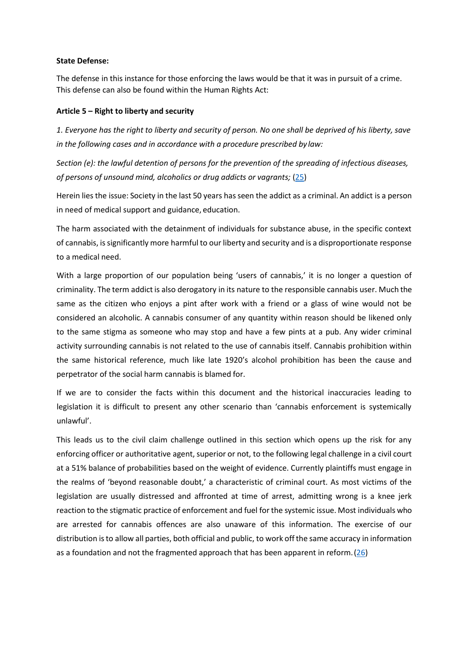### **State Defense:**

The defense in this instance for those enforcing the laws would be that it was in pursuit of a crime. This defense can also be found within the Human Rights Act:

### **Article 5 – Right to liberty and security**

*1. Everyone has the right to liberty and security of person. No one shall be deprived of his liberty, save in the following cases and in accordance with a procedure prescribed by law:*

*Section (e): the lawful detention of persons for the prevention of the spreading of infectious diseases, of persons of unsound mind, alcoholics or drug addicts or vagrants;* (25)

Herein liesthe issue: Society in the last 50 years hasseen the addict as a criminal. An addict is a person in need of medical support and guidance, education.

The harm associated with the detainment of individuals for substance abuse, in the specific context of cannabis, issignificantly more harmful to our liberty and security and is a disproportionate response to a medical need.

With a large proportion of our population being 'users of cannabis,' it is no longer a question of criminality. The term addict is also derogatory in its nature to the responsible cannabis user. Much the same as the citizen who enjoys a pint after work with a friend or a glass of wine would not be considered an alcoholic. A cannabis consumer of any quantity within reason should be likened only to the same stigma as someone who may stop and have a few pints at a pub. Any wider criminal activity surrounding cannabis is not related to the use of cannabis itself. Cannabis prohibition within the same historical reference, much like late 1920's alcohol prohibition has been the cause and perpetrator of the social harm cannabis is blamed for.

If we are to consider the facts within this document and the historical inaccuracies leading to legislation it is difficult to present any other scenario than 'cannabis enforcement is systemically unlawful'.

This leads us to the civil claim challenge outlined in this section which opens up the risk for any enforcing officer or authoritative agent, superior or not, to the following legal challenge in a civil court at a 51% balance of probabilities based on the weight of evidence. Currently plaintiffs must engage in the realms of 'beyond reasonable doubt,' a characteristic of criminal court. As most victims of the legislation are usually distressed and affronted at time of arrest, admitting wrong is a knee jerk reaction to the stigmatic practice of enforcement and fuel forthe systemic issue. Most individuals who are arrested for cannabis offences are also unaware of this information. The exercise of our distribution isto allow all parties, both official and public, to work offthe same accuracy in information as a foundation and not the fragmented approach that has been apparent in reform.  $(26)$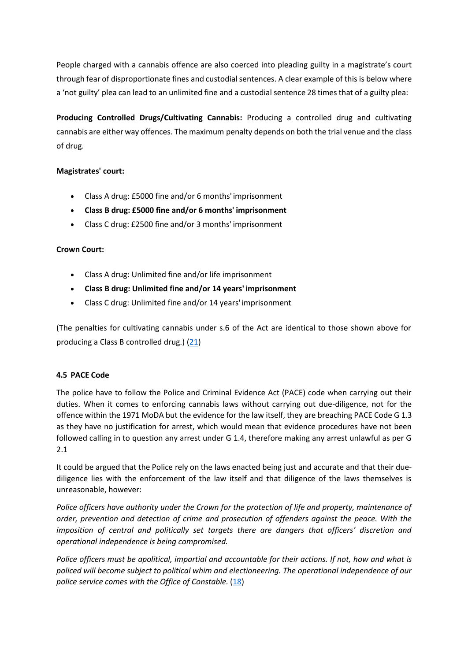People charged with a cannabis offence are also coerced into pleading guilty in a magistrate's court through fear of disproportionate fines and custodial sentences. A clear example of this is below where a 'not guilty' plea can lead to an unlimited fine and a custodial sentence 28 times that of a guilty plea:

**Producing Controlled Drugs/Cultivating Cannabis:** Producing a controlled drug and cultivating cannabis are either way offences. The maximum penalty depends on both the trial venue and the class of drug.

### **Magistrates' court:**

- Class A drug: £5000 fine and/or 6 months' imprisonment
- **Class B drug: £5000 fine and/or 6 months' imprisonment**
- Class C drug: £2500 fine and/or 3 months' imprisonment

### **Crown Court:**

- Class A drug: Unlimited fine and/or life imprisonment
- **Class B drug: Unlimited fine and/or 14 years' imprisonment**
- Class C drug: Unlimited fine and/or 14 years' imprisonment

(The penalties for cultivating cannabis under s.6 of the Act are identical to those shown above for producing a Class B controlled drug.) [\(21\)](https://www.cps.gov.uk/legal-guidance/drug-offences?fbclid=IwAR0v6j4iKhDBVlKWZBp_cfh-a243dnz6TUoMrL_6jxYqcrYwGk8JAnfBE8c)

### **4.5 PACE Code**

The police have to follow the Police and Criminal Evidence Act (PACE) code when carrying out their duties. When it comes to enforcing cannabis laws without carrying out due-diligence, not for the offence within the 1971 MoDA but the evidence for the law itself, they are breaching PACE Code G 1.3 as they have no justification for arrest, which would mean that evidence procedures have not been followed calling in to question any arrest under G 1.4, therefore making any arrest unlawful as per G 2.1

It could be argued that the Police rely on the laws enacted being just and accurate and that their duediligence lies with the enforcement of the law itself and that diligence of the laws themselves is unreasonable, however:

*Police officers have authority under the Crown for the protection of life and property, maintenance of order, prevention and detection of crime and prosecution of offenders against the peace. With the imposition of central and politically set targets there are dangers that officers' discretion and operational independence is being compromised.*

*Police officers must be apolitical, impartial and accountable for their actions. If not, how and what is policed will become subject to political whim and electioneering. The operational independence of our police service comes with the Office of Constable.* [\(18\)](https://www.polfed.org/media/14239/the-office-of-constable-with-links-2018.pdf?fbclid=IwAR0jtFb-bYEvJVtQiZoUdMp_F4LxRAwck9cO4rOBhYDnxqebn32L8x5CWsY)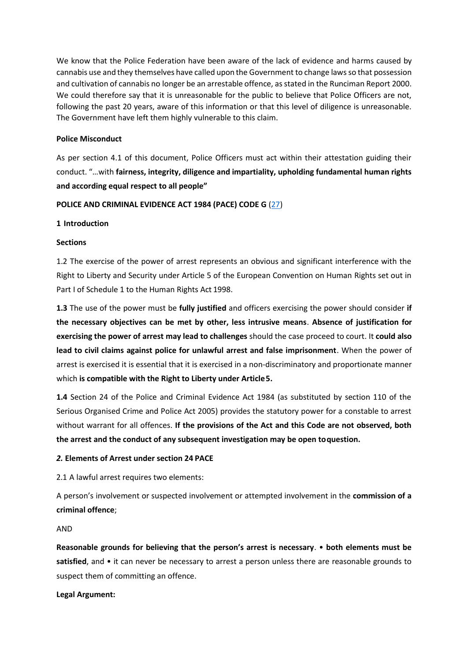We know that the Police Federation have been aware of the lack of evidence and harms caused by cannabis use and they themselves have called upon the Government to change lawsso that possession and cultivation of cannabis no longer be an arrestable offence, asstated in the Runciman Report 2000. We could therefore say that it is unreasonable for the public to believe that Police Officers are not, following the past 20 years, aware of this information or that this level of diligence is unreasonable. The Government have left them highly vulnerable to this claim.

### **Police Misconduct**

As per section 4.1 of this document, Police Officers must act within their attestation guiding their conduct. "…with **fairness, integrity, diligence and impartiality, upholding fundamental human rights and according equal respect to all people"**

### **POLICE AND CRIMINAL EVIDENCE ACT 1984 (PACE) CODE G** (27)

### **1 Introduction**

### **Sections**

1.2 The exercise of the power of arrest represents an obvious and significant interference with the Right to Liberty and Security under Article 5 of the European Convention on Human Rights set out in Part I of Schedule 1 to the Human Rights Act 1998.

**1.3** The use of the power must be **fully justified** and officers exercising the power should consider **if the necessary objectives can be met by other, less intrusive means**. **Absence of justification for exercising the power of arrest may lead to challenges** should the case proceed to court. It **could also lead to civil claims against police for unlawful arrest and false imprisonment**. When the power of arrest is exercised it is essential that it is exercised in a non-discriminatory and proportionate manner which **is compatible with the Right to Liberty under Article5.**

**1.4** Section 24 of the Police and Criminal Evidence Act 1984 (as substituted by section 110 of the Serious Organised Crime and Police Act 2005) provides the statutory power for a constable to arrest without warrant for all offences. **If the provisions of the Act and this Code are not observed, both the arrest and the conduct of any subsequent investigation may be open toquestion.**

### *2.* **Elements of Arrest under section 24 PACE**

2.1 A lawful arrest requires two elements:

A person's involvement or suspected involvement or attempted involvement in the **commission of a criminal offence**;

### AND

**Reasonable grounds for believing that the person's arrest is necessary**. • **both elements must be satisfied**, and • it can never be necessary to arrest a person unless there are reasonable grounds to suspect them of committing an offence.

### **Legal Argument:**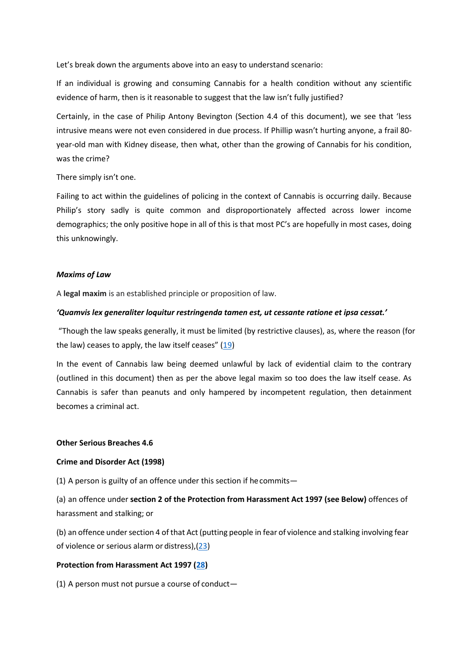Let's break down the arguments above into an easy to understand scenario:

If an individual is growing and consuming Cannabis for a health condition without any scientific evidence of harm, then is it reasonable to suggest that the law isn't fully justified?

Certainly, in the case of Philip Antony Bevington (Section 4.4 of this document), we see that 'less intrusive means were not even considered in due process. If Phillip wasn't hurting anyone, a frail 80 year-old man with Kidney disease, then what, other than the growing of Cannabis for his condition, was the crime?

There simply isn't one.

Failing to act within the guidelines of policing in the context of Cannabis is occurring daily. Because Philip's story sadly is quite common and disproportionately affected across lower income demographics; the only positive hope in all of this is that most PC's are hopefully in most cases, doing this unknowingly.

### *Maxims of Law*

A **legal maxim** is an established principle or proposition of law.

#### *'Quamvis lex generaliter loquitur restringenda tamen est, ut cessante ratione et ipsa cessat.'*

"Though the law speaks generally, it must be limited (by restrictive clauses), as, where the reason (for the law) ceases to apply, the law itself ceases"  $(19)$  $(19)$ 

In the event of Cannabis law being deemed unlawful by lack of evidential claim to the contrary (outlined in this document) then as per the above legal maxim so too does the law itself cease. As Cannabis is safer than peanuts and only hampered by incompetent regulation, then detainment becomes a criminal act.

#### **Other Serious Breaches 4.6**

### **Crime and Disorder Act (1998)**

(1) A person is guilty of an offence under this section if hecommits—

(a) an offence under **section 2 of the Protection from Harassment Act 1997 (see Below)** offences of harassment and stalking; or

(b) an offence under section 4 of that Act (putting people in fear of violence and stalking involving fear of violence or serious alarm or distress),(23)

### **Protection from Harassment Act 1997 [\(28\)](https://www.legislation.gov.uk/ukpga/1997/40/contents)**

(1) A person must not pursue a course of conduct—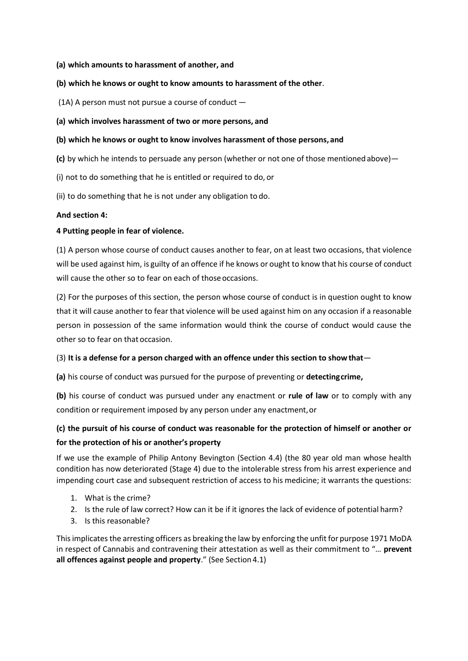### **(a) which amounts to harassment of another, and**

### **(b) which he knows or ought to know amounts to harassment of the other**.

(1A) A person must not pursue a course of conduct —

### **(a) which involves harassment of two or more persons, and**

### **(b) which he knows or ought to know involves harassment of those persons, and**

**(c)** by which he intends to persuade any person (whether or not one of those mentioned above)—

- (i) not to do something that he is entitled or required to do, or
- (ii) to do something that he is not under any obligation to do.

### **And section 4:**

### **4 Putting people in fear of violence.**

(1) A person whose course of conduct causes another to fear, on at least two occasions, that violence will be used against him, is guilty of an offence if he knows or ought to know that his course of conduct will cause the other so to fear on each of those occasions.

(2) For the purposes of this section, the person whose course of conduct is in question ought to know that it will cause another to fear that violence will be used against him on any occasion if a reasonable person in possession of the same information would think the course of conduct would cause the other so to fear on that occasion.

### (3) **It is a defense for a person charged with an offence under this section to showthat**—

**(a)** his course of conduct was pursued for the purpose of preventing or **detectingcrime,**

**(b)** his course of conduct was pursued under any enactment or **rule of law** or to comply with any condition or requirement imposed by any person under any enactment,or

# **(c) the pursuit of his course of conduct was reasonable for the protection of himself or another or for the protection of his or another's property**

If we use the example of Philip Antony Bevington (Section 4.4) (the 80 year old man whose health condition has now deteriorated (Stage 4) due to the intolerable stress from his arrest experience and impending court case and subsequent restriction of access to his medicine; it warrants the questions:

- 1. What is the crime?
- 2. Is the rule of law correct? How can it be if it ignores the lack of evidence of potential harm?
- 3. Is this reasonable?

This implicates the arresting officers as breaking the law by enforcing the unfit for purpose 1971 MoDA in respect of Cannabis and contravening their attestation as well as their commitment to "… **prevent all offences against people and property**." (See Section4.1)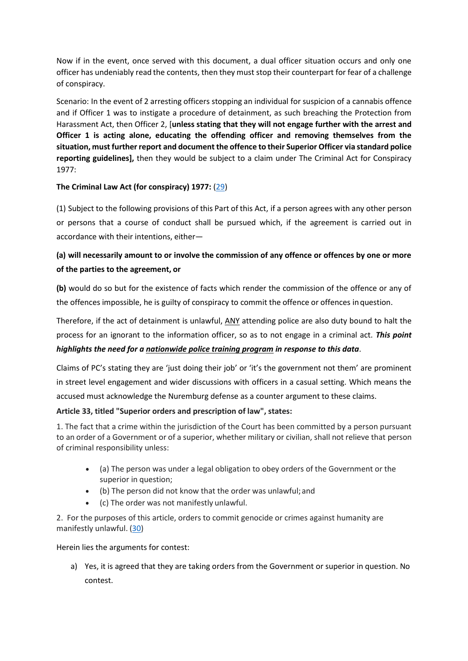Now if in the event, once served with this document, a dual officer situation occurs and only one officer has undeniably read the contents, then they must stop their counterpart for fear of a challenge of conspiracy.

Scenario: In the event of 2 arresting officers stopping an individual for suspicion of a cannabis offence and if Officer 1 was to instigate a procedure of detainment, as such breaching the Protection from Harassment Act, then Officer 2, [**unless stating that they will not engage further with the arrest and Officer 1 is acting alone, educating the offending officer and removing themselves from the situation, must further report and document the offence to their Superior Officer via standard police reporting guidelines],** then they would be subject to a claim under The Criminal Act for Conspiracy 1977:

### **The Criminal Law Act (for conspiracy) 1977:** (29)

(1) Subject to the following provisions of this Part of this Act, if a person agrees with any other person or persons that a course of conduct shall be pursued which, if the agreement is carried out in accordance with their intentions, either—

# **(a) will necessarily amount to or involve the commission of any offence or offences by one or more of the parties to the agreement, or**

**(b)** would do so but for the existence of facts which render the commission of the offence or any of the offences impossible, he is guilty of conspiracy to commit the offence or offences inquestion.

Therefore, if the act of detainment is unlawful, ANY attending police are also duty bound to halt the process for an ignorant to the information officer, so as to not engage in a criminal act. *This point highlights the need for a nationwide police training program in response to this data*.

Claims of PC's stating they are 'just doing their job' or 'it's the government not them' are prominent in street level engagement and wider discussions with officers in a casual setting. Which means the accused must acknowledge the Nuremburg defense as a counter argument to these claims.

### **Article 33, titled "Superior orders and prescription of law", states:**

1. The fact that a crime within the jurisdiction of the Court has been committed by a person pursuant to an order of a Government or of a superior, whether military or civilian, shall not relieve that person of criminal responsibility unless:

- (a) The person was under a legal obligation to obey orders of the Government or the superior in question;
- (b) The person did not know that the order was unlawful;and
- (c) The order was not manifestly unlawful.

2. For the purposes of this article, orders to commit genocide or crimes against humanity are manifestly unlawful. (30)

### Herein lies the arguments for contest:

a) Yes, it is agreed that they are taking orders from the Government or superior in question. No contest.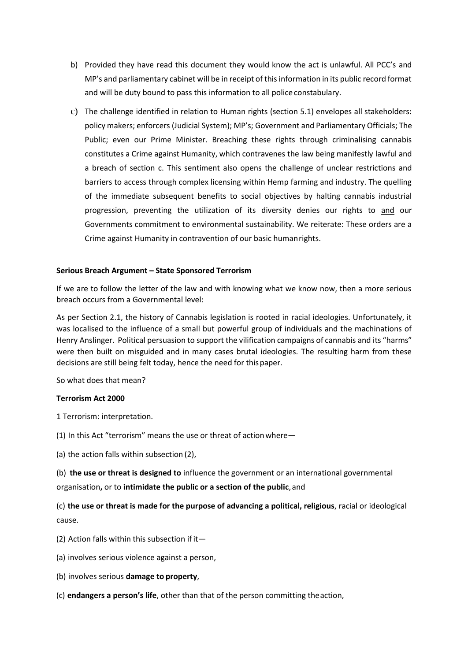- b) Provided they have read this document they would know the act is unlawful. All PCC's and MP's and parliamentary cabinet will be in receipt of thisinformation in its public record format and will be duty bound to pass this information to all police constabulary.
- c) The challenge identified in relation to Human rights (section 5.1) envelopes all stakeholders: policy makers; enforcers (Judicial System); MP's; Government and Parliamentary Officials; The Public; even our Prime Minister. Breaching these rights through criminalising cannabis constitutes a Crime against Humanity, which contravenes the law being manifestly lawful and a breach of section c. This sentiment also opens the challenge of unclear restrictions and barriers to access through complex licensing within Hemp farming and industry. The quelling of the immediate subsequent benefits to social objectives by halting cannabis industrial progression, preventing the utilization of its diversity denies our rights to and our Governments commitment to environmental sustainability. We reiterate: These orders are a Crime against Humanity in contravention of our basic humanrights.

### **Serious Breach Argument – State Sponsored Terrorism**

If we are to follow the letter of the law and with knowing what we know now, then a more serious breach occurs from a Governmental level:

As per Section 2.1, the history of Cannabis legislation is rooted in racial ideologies. Unfortunately, it was localised to the influence of a small but powerful group of individuals and the machinations of Henry Anslinger. Political persuasion to support the vilification campaigns of cannabis and its "harms" were then built on misguided and in many cases brutal ideologies. The resulting harm from these decisions are still being felt today, hence the need for thispaper.

So what does that mean?

### **Terrorism Act 2000**

1 Terrorism: interpretation.

(1) In this Act "terrorism" means the use or threat of actionwhere—

(a) the action falls within subsection (2),

(b) **the use or threat is designed to** influence the government or an international governmental organisation**,** or to **intimidate the public or a section of the public**,and

(c) **the use or threat is made for the purpose of advancing a political, religious**, racial or ideological cause.

- (2) Action falls within this subsection if it—
- (a) involves serious violence against a person,
- (b) involves serious **damage to property**,
- (c) **endangers a person's life**, other than that of the person committing theaction,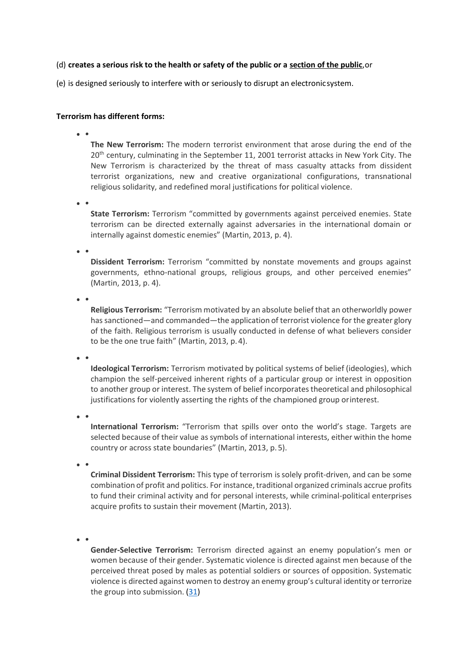### (d) **creates a serious risk to the health or safety of the public or a section of the public**,or

(e) is designed seriously to interfere with or seriously to disrupt an electronicsystem.

### **Terrorism has different forms:**

• *•*

**The New Terrorism:** The modern terrorist environment that arose during the end of the 20<sup>th</sup> century, culminating in the September 11, 2001 terrorist attacks in New York City. The New Terrorism is characterized by the threat of mass casualty attacks from dissident terrorist organizations, new and creative organizational configurations, transnational religious solidarity, and redefined moral justifications for political violence.

• *•*

**State Terrorism:** Terrorism "committed by governments against perceived enemies. State terrorism can be directed externally against adversaries in the international domain or internally against domestic enemies" (Martin, 2013, p. 4).

• *•*

**Dissident Terrorism:** Terrorism "committed by nonstate movements and groups against governments, ethno-national groups, religious groups, and other perceived enemies" (Martin, 2013, p. 4).

• *•*

**Religious Terrorism:** "Terrorism motivated by an absolute belief that an otherworldly power has sanctioned—and commanded—the application of terrorist violence for the greater glory of the faith. Religious terrorism is usually conducted in defense of what believers consider to be the one true faith" (Martin, 2013, p.4).

• *•*

**Ideological Terrorism:** Terrorism motivated by political systems of belief (ideologies), which champion the self-perceived inherent rights of a particular group or interest in opposition to another group or interest. The system of belief incorporates theoretical and philosophical justifications for violently asserting the rights of the championed group orinterest.

• *•*

**International Terrorism:** "Terrorism that spills over onto the world's stage. Targets are selected because of their value as symbols of international interests, either within the home country or across state boundaries" (Martin, 2013, p.5).

• *•*

**Criminal Dissident Terrorism:** This type of terrorism issolely profit-driven, and can be some combination of profit and politics. For instance, traditional organized criminals accrue profits to fund their criminal activity and for personal interests, while criminal-political enterprises acquire profits to sustain their movement (Martin, 2013).

• *•*

**Gender-Selective Terrorism:** Terrorism directed against an enemy population's men or women because of their gender. Systematic violence is directed against men because of the perceived threat posed by males as potential soldiers or sources of opposition. Systematic violence is directed against women to destroy an enemy group's cultural identity or terrorize the group into submission. (31)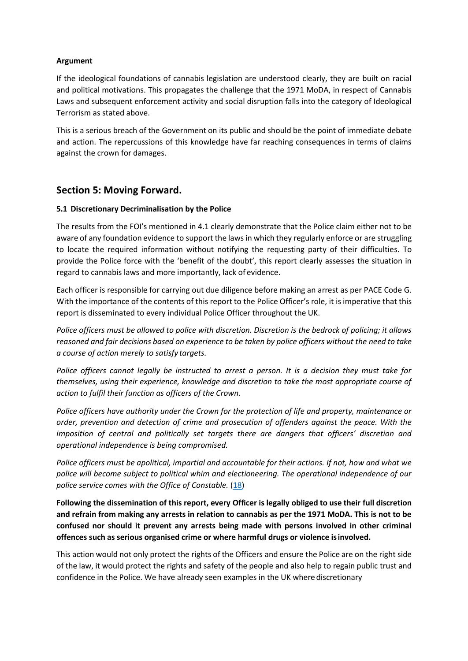### **Argument**

If the ideological foundations of cannabis legislation are understood clearly, they are built on racial and political motivations. This propagates the challenge that the 1971 MoDA, in respect of Cannabis Laws and subsequent enforcement activity and social disruption falls into the category of Ideological Terrorism as stated above.

This is a serious breach of the Government on its public and should be the point of immediate debate and action. The repercussions of this knowledge have far reaching consequences in terms of claims against the crown for damages.

### **Section 5: Moving Forward.**

### **5.1 Discretionary Decriminalisation by the Police**

The results from the FOI's mentioned in 4.1 clearly demonstrate that the Police claim either not to be aware of any foundation evidence to support the laws in which they regularly enforce or are struggling to locate the required information without notifying the requesting party of their difficulties. To provide the Police force with the 'benefit of the doubt', this report clearly assesses the situation in regard to cannabis laws and more importantly, lack of evidence.

Each officer is responsible for carrying out due diligence before making an arrest as per PACE Code G. With the importance of the contents of this report to the Police Officer's role, it isimperative that this report is disseminated to every individual Police Officer throughout the UK.

*Police officers must be allowed to police with discretion. Discretion is the bedrock of policing; it allows*  reasoned and fair decisions based on experience to be taken by police officers without the need to take *a course of action merely to satisfy targets.*

*Police officers cannot legally be instructed to arrest a person. It is a decision they must take for themselves, using their experience, knowledge and discretion to take the most appropriate course of action to fulfil their function as officers of the Crown.*

*Police officers have authority under the Crown for the protection of life and property, maintenance or order, prevention and detection of crime and prosecution of offenders against the peace. With the imposition of central and politically set targets there are dangers that officers' discretion and operational independence is being compromised.*

*Police officers must be apolitical, impartial and accountable for their actions. If not, how and what we police will become subject to political whim and electioneering. The operational independence of our police service comes with the Office of Constable.* [\(18\)](https://www.polfed.org/media/14239/the-office-of-constable-with-links-2018.pdf?fbclid=IwAR0jtFb-bYEvJVtQiZoUdMp_F4LxRAwck9cO4rOBhYDnxqebn32L8x5CWsY)

**Following the dissemination of this report, every Officer is legally obliged to use their full discretion and refrain from making any arrests in relation to cannabis as per the 1971 MoDA. This is not to be confused nor should it prevent any arrests being made with persons involved in other criminal offences such as serious organised crime or where harmful drugs or violence isinvolved.**

This action would not only protect the rights of the Officers and ensure the Police are on the right side of the law, it would protect the rights and safety of the people and also help to regain public trust and confidence in the Police. We have already seen examples in the UK where discretionary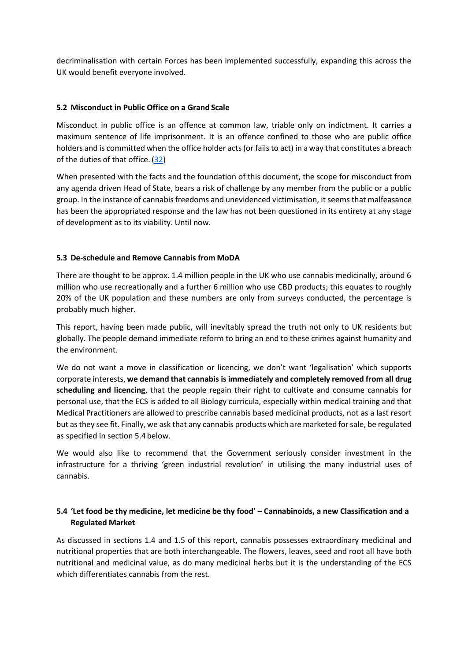decriminalisation with certain Forces has been implemented successfully, expanding this across the UK would benefit everyone involved.

### **5.2 Misconduct in Public Office on a Grand Scale**

Misconduct in public office is an offence at common law, triable only on indictment. It carries a maximum sentence of life imprisonment. It is an offence confined to those who are public office holders and is committed when the office holder acts (or fails to act) in a way that constitutes a breach of the duties of that office.(32)

When presented with the facts and the foundation of this document, the scope for misconduct from any agenda driven Head of State, bears a risk of challenge by any member from the public or a public group. In the instance of cannabisfreedoms and unevidenced victimisation, it seems that malfeasance has been the appropriated response and the law has not been questioned in its entirety at any stage of development as to its viability. Until now.

### **5.3 De-schedule and Remove Cannabis from MoDA**

There are thought to be approx. 1.4 million people in the UK who use cannabis medicinally, around 6 million who use recreationally and a further 6 million who use CBD products; this equates to roughly 20% of the UK population and these numbers are only from surveys conducted, the percentage is probably much higher.

This report, having been made public, will inevitably spread the truth not only to UK residents but globally. The people demand immediate reform to bring an end to these crimes against humanity and the environment.

We do not want a move in classification or licencing, we don't want 'legalisation' which supports corporate interests, **we demand that cannabis isimmediately and completely removed from all drug scheduling and licencing**, that the people regain their right to cultivate and consume cannabis for personal use, that the ECS is added to all Biology curricula, especially within medical training and that Medical Practitioners are allowed to prescribe cannabis based medicinal products, not as a last resort but asthey see fit. Finally, we ask that any cannabis products which are marketed forsale, be regulated as specified in section 5.4 below.

We would also like to recommend that the Government seriously consider investment in the infrastructure for a thriving 'green industrial revolution' in utilising the many industrial uses of cannabis.

### **5.4 'Let food be thy medicine, let medicine be thy food' – Cannabinoids, a new Classification and a Regulated Market**

As discussed in sections 1.4 and 1.5 of this report, cannabis possesses extraordinary medicinal and nutritional properties that are both interchangeable. The flowers, leaves, seed and root all have both nutritional and medicinal value, as do many medicinal herbs but it is the understanding of the ECS which differentiates cannabis from the rest.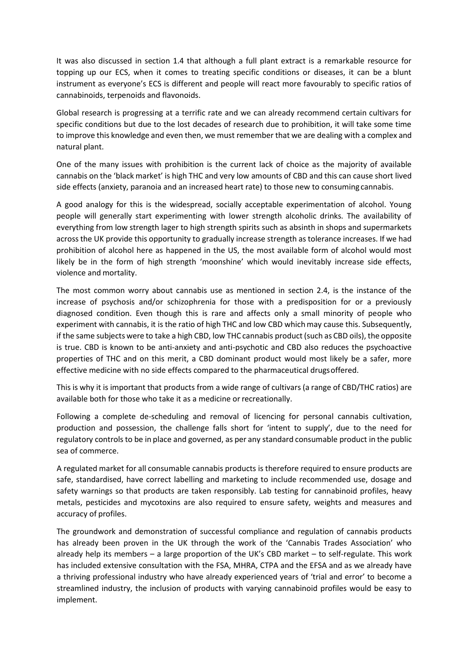It was also discussed in section 1.4 that although a full plant extract is a remarkable resource for topping up our ECS, when it comes to treating specific conditions or diseases, it can be a blunt instrument as everyone's ECS is different and people will react more favourably to specific ratios of cannabinoids, terpenoids and flavonoids.

Global research is progressing at a terrific rate and we can already recommend certain cultivars for specific conditions but due to the lost decades of research due to prohibition, it will take some time to improve this knowledge and even then, we must remember that we are dealing with a complex and natural plant.

One of the many issues with prohibition is the current lack of choice as the majority of available cannabis on the 'black market' is high THC and very low amounts of CBD and this can cause short lived side effects (anxiety, paranoia and an increased heart rate) to those new to consuming cannabis.

A good analogy for this is the widespread, socially acceptable experimentation of alcohol. Young people will generally start experimenting with lower strength alcoholic drinks. The availability of everything from low strength lager to high strength spirits such as absinth in shops and supermarkets acrossthe UK provide this opportunity to gradually increase strength as tolerance increases. If we had prohibition of alcohol here as happened in the US, the most available form of alcohol would most likely be in the form of high strength 'moonshine' which would inevitably increase side effects, violence and mortality.

The most common worry about cannabis use as mentioned in section 2.4, is the instance of the increase of psychosis and/or schizophrenia for those with a predisposition for or a previously diagnosed condition. Even though this is rare and affects only a small minority of people who experiment with cannabis, it is the ratio of high THC and low CBD whichmay cause this. Subsequently, if the same subjects were to take a high CBD, low THC cannabis product (such as CBD oils), the opposite is true. CBD is known to be anti-anxiety and anti-psychotic and CBD also reduces the psychoactive properties of THC and on this merit, a CBD dominant product would most likely be a safer, more effective medicine with no side effects compared to the pharmaceutical drugsoffered.

This is why it is important that products from a wide range of cultivars (a range of CBD/THC ratios) are available both for those who take it as a medicine or recreationally.

Following a complete de-scheduling and removal of licencing for personal cannabis cultivation, production and possession, the challenge falls short for 'intent to supply', due to the need for regulatory controlsto be in place and governed, as per any standard consumable product in the public sea of commerce.

A regulated market for all consumable cannabis products is therefore required to ensure products are safe, standardised, have correct labelling and marketing to include recommended use, dosage and safety warnings so that products are taken responsibly. Lab testing for cannabinoid profiles, heavy metals, pesticides and mycotoxins are also required to ensure safety, weights and measures and accuracy of profiles.

The groundwork and demonstration of successful compliance and regulation of cannabis products has already been proven in the UK through the work of the 'Cannabis Trades Association' who already help its members – a large proportion of the UK's CBD market – to self-regulate. This work has included extensive consultation with the FSA, MHRA, CTPA and the EFSA and as we already have a thriving professional industry who have already experienced years of 'trial and error' to become a streamlined industry, the inclusion of products with varying cannabinoid profiles would be easy to implement.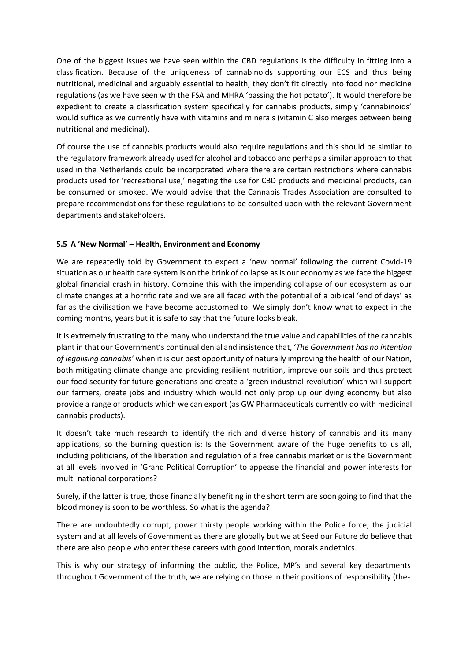One of the biggest issues we have seen within the CBD regulations is the difficulty in fitting into a classification. Because of the uniqueness of cannabinoids supporting our ECS and thus being nutritional, medicinal and arguably essential to health, they don't fit directly into food nor medicine regulations (as we have seen with the FSA and MHRA 'passing the hot potato'). It would therefore be expedient to create a classification system specifically for cannabis products, simply 'cannabinoids' would suffice as we currently have with vitamins and minerals (vitamin C also merges between being nutritional and medicinal).

Of course the use of cannabis products would also require regulations and this should be similar to the regulatory framework already used for alcohol and tobacco and perhaps a similar approach to that used in the Netherlands could be incorporated where there are certain restrictions where cannabis products used for 'recreational use,' negating the use for CBD products and medicinal products, can be consumed or smoked. We would advise that the Cannabis Trades Association are consulted to prepare recommendations for these regulations to be consulted upon with the relevant Government departments and stakeholders.

### **5.5 A 'New Normal' – Health, Environment and Economy**

We are repeatedly told by Government to expect a 'new normal' following the current Covid-19 situation as our health care system is on the brink of collapse as is our economy as we face the biggest global financial crash in history. Combine this with the impending collapse of our ecosystem as our climate changes at a horrific rate and we are all faced with the potential of a biblical 'end of days' as far as the civilisation we have become accustomed to. We simply don't know what to expect in the coming months, years but it is safe to say that the future looks bleak.

It is extremely frustrating to the many who understand the true value and capabilities of the cannabis plant in that our Government's continual denial and insistence that, '*The Government has no intention of legalising cannabis'* when it is our best opportunity of naturally improving the health of our Nation, both mitigating climate change and providing resilient nutrition, improve our soils and thus protect our food security for future generations and create a 'green industrial revolution' which will support our farmers, create jobs and industry which would not only prop up our dying economy but also provide a range of products which we can export (as GW Pharmaceuticals currently do with medicinal cannabis products).

It doesn't take much research to identify the rich and diverse history of cannabis and its many applications, so the burning question is: Is the Government aware of the huge benefits to us all, including politicians, of the liberation and regulation of a free cannabis market or is the Government at all levels involved in 'Grand Political Corruption' to appease the financial and power interests for multi-national corporations?

Surely, if the latter is true, those financially benefiting in the short term are soon going to find that the blood money is soon to be worthless. So what is the agenda?

There are undoubtedly corrupt, power thirsty people working within the Police force, the judicial system and at all levels of Government as there are globally but we at Seed our Future do believe that there are also people who enter these careers with good intention, morals andethics.

This is why our strategy of informing the public, the Police, MP's and several key departments throughout Government of the truth, we are relying on those in their positions of responsibility (the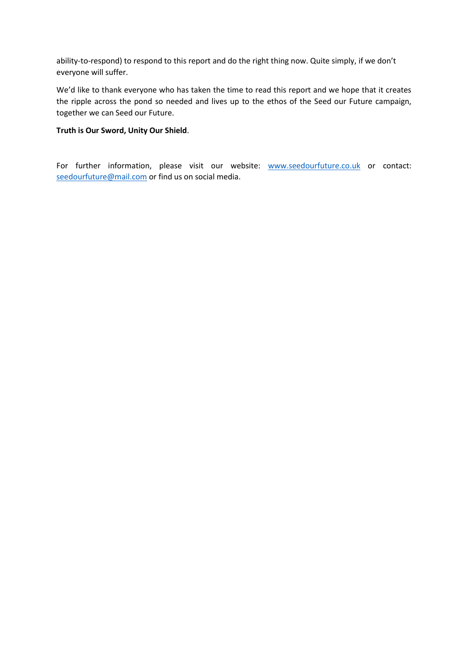ability-to-respond) to respond to this report and do the right thing now. Quite simply, if we don't everyone will suffer.

We'd like to thank everyone who has taken the time to read this report and we hope that it creates the ripple across the pond so needed and lives up to the ethos of the Seed our Future campaign, together we can Seed our Future.

#### **Truth is Our Sword, Unity Our Shield**.

For further information, please visit our website: [www.seedourfuture.co.uk](http://www.seedourfuture.co.uk/) or contact: [seedourfuture@mail.com](mailto:seedourfuture@mail.com) or find us on social media.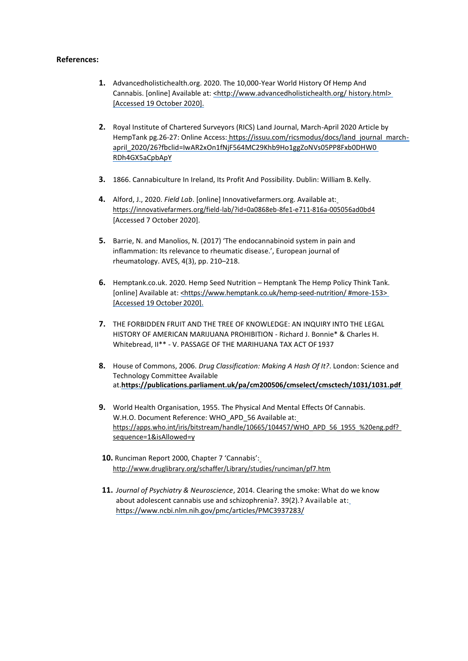#### **References:**

- **1.** Advancedholistichealth.org. 2020. The 10,000-Year World History Of Hemp An[d](http://www.advancedholistichealth.org/history.html) [Cannabis. \[online\] Available at:](http://www.advancedholistichealth.org/history.html) [<http://www.advancedholistichealth.org/ h](http://www.advancedholistichealth.org/)istory.html> [Accessed 19 October 2020].
- **2.** Royal Institute of Chartered Surveyors (RICS) Land Journal, March-April 202[0 Article by](https://issuu.com/ricsmodus/docs/land_journal_march-april_2020/26?fbclid=IwAR2xOn1fNjF564MC29Khb9Ho1ggZoNVs05PP8Fxb0DHW0RDh4GX5aCpbApY) [HempTank pg.26-27: Online Access:](https://issuu.com/ricsmodus/docs/land_journal_march-april_2020/26?fbclid=IwAR2xOn1fNjF564MC29Khb9Ho1ggZoNVs05PP8Fxb0DHW0RDh4GX5aCpbApY) [https://issuu.com/ricsmodus/docs/land\\_journal\\_march](https://issuu.com/ricsmodus/docs/land_journal_march-april_2020/26?fbclid=IwAR2xOn1fNjF564MC29Khb9Ho1ggZoNVs05PP8Fxb0DHW0RDh4GX5aCpbApY)april\_2020/26?fbclid=IwAR2xOn1fNjF564MC29Khb9Ho1ggZoNVs05PP8Fxb0DHW0 RDh4GX5aCpbApY
- **3.** 1866. Cannabiculture In Ireland, Its Profi[t And Possibility. Dublin: William B.](http://herbmuseum.ca/content/part-2-history-hemp-fuels?fbclid=IwAR2zmV2kpEgXmRzbUEuXKisFzbkzEkVshaoCUVzD1Rx4SnXMFNOy07exXf4) Kelly.
- **4.** Alford, J., 2020. *Field Lab*. [online] Innovativefarmers.org. Available at[:](https://innovativefarmers.org/field-lab/?id=0a0868eb-8fe1-e711-816a-005056ad0bd4) <https://innovativefarmers.org/field-lab/?id=0a0868eb-8fe1-e711-816a-005056ad0bd4> [Accessed 7 October 2020].
- **5.** Barrie, N. and Manolios, N. (2017) 'The endocannabinoid system in pain and inflammation: Its relevance to rheumatic disease.', European journal of rheumatology. AVES, 4(3), pp. 210–218.
- **6.** [Hemptank.co.uk. 2](https://www.hemptank.co.uk/hemp-seed-nutrition/#more-153)020. Hemp Seed Nutrition Hemptank The Hemp Policy Think Tank. [online] Available a[t: <https://www.hemptank.co.uk/hemp-seed-nutrition/ #](http://www.hemptank.co.uk/hemp-seed-nutrition/)more-153> [Accessed 19 October 2020].
- **7.** THE FORBIDDEN FRUIT AND THE TREE OF KNOWLEDGE: AN INQUIRY INTO THE LEGAL HISTORY OF AMERICAN MARIJUANA PROHIBITION - Richard J. Bonnie\* & [Charles H.](https://publications.parliament.uk/pa/cm200506/cmselect/cmsctech/1031/1031.pdf) Whitebread, II\*\* - [V. PASSAGE OF THE MARIHUANA TAX ACT OF1937](https://publications.parliament.uk/pa/cm200506/cmselect/cmsctech/1031/1031.pdf)
- **8.** House of Commons, 2006. *Drug Classification: Making A Hash Of It?*. London: Science and Technology Committee Available at.**https://publications.parliament.uk/pa/cm200506/cmselect/cmsctech/1031/1031[.pdf](https://apps.who.int/iris/bitstream/handle/10665/104457/WHO_APD_56_1955_eng.pdf?sequence=1&isAllowed=y)**
- **9.** World Health Organisation, 1955. The Physical And Mental Effects Of Cannabis. W.H.O. Document Reference[:](https://apps.who.int/iris/bitstream/handle/10665/104457/WHO_APD_56_1955_%20eng.pdf?sequence=1&isAllowed=y) WHO APD 56 Available at: [https://apps.who.int/iris/bitstream/handle/10665/104457/WHO\\_APD\\_56\\_1955\\_%20eng.pdf?](https://apps.who.int/iris/bitstream/handle/10665/104457/WHO_APD_56_1955_%20eng.pdf?sequence=1&isAllowed=y) [sequence=1&isAllowed=y](https://apps.who.int/iris/bitstream/handle/10665/104457/WHO_APD_56_1955_%20eng.pdf?sequence=1&isAllowed=y)
- **10.** Runciman Report 2000, Chapter 7 'Cannabis'[:](http://www.druglibrary.org/schaffer/Library/studies/runciman/pf7.htm) <http://www.druglibrary.org/schaffer/Library/studies/runciman/pf7.htm>
- **11.** *Journal of Psychiatry & Neuroscience*, 2014. Clearing the smoke: What do we know about adolescent cannabis use and schizophrenia?. 39(2).? Available at[:](http://www.ncbi.nlm.nih.gov/pmc/articles/PMC3937283/) [https://www.ncbi.nlm.nih.gov/pmc/articles/PMC3937283/](http://www.ncbi.nlm.nih.gov/pmc/articles/PMC3937283/)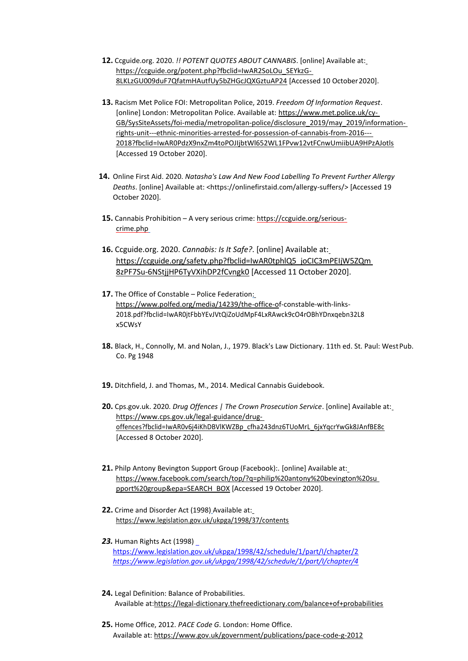- **12.** Ccguide.org. 2020. *!! POTENT QUOTES ABOUT CANNABIS*. [online] Available at[:](https://ccguide.org/potent.php?fbclid=IwAR2SoLOu_SEYkzG-8LKLzGU009duF7QfatmHAutfUy5bZHGcJQXGztuAP24) [https://ccguide.org/potent.php?fbclid=IwAR2SoLOu\\_SEYkzG-](https://ccguide.org/potent.php?fbclid=IwAR2SoLOu_SEYkzG-8LKLzGU009duF7QfatmHAutfUy5bZHGcJQXGztuAP24)[8LKLzGU009duF7QfatmHAutfUy5bZHGcJQXGztuAP24](https://ccguide.org/potent.php?fbclid=IwAR2SoLOu_SEYkzG-8LKLzGU009duF7QfatmHAutfUy5bZHGcJQXGztuAP24) [Accessed 10 October2020].
- **13.** Racism Met Police FOI: Metropolitan Police, 2019. *Freedom Of Information Request*. [online] London: Metropolitan Police. Available at: [https://www.met.police.uk/cy-](https://www.met.police.uk/cy-GB/SysSiteAssets/foi-media/metropolitan-police/disclosure_2019/may_2019/information-rights-unit---ethnic-minorities-arrested-for-possession-of-cannabis-from-2016---2018?fbclid=IwAR0PdzX9nxZm4toPOJIjbtWl652WL1FPvw12vtFCnwUmiibUA9HPzAJotls)[GB/SysSiteAssets/foi-media/metropolitan-police/disclosure\\_2019/may\\_2019/information](https://www.met.police.uk/cy-GB/SysSiteAssets/foi-media/metropolitan-police/disclosure_2019/may_2019/information-rights-unit---ethnic-minorities-arrested-for-possession-of-cannabis-from-2016---2018?fbclid=IwAR0PdzX9nxZm4toPOJIjbtWl652WL1FPvw12vtFCnwUmiibUA9HPzAJotls)[rights-unit---ethnic-minorities-arrested-for-possession-of-cannabis-from-2016---](https://www.met.police.uk/cy-GB/SysSiteAssets/foi-media/metropolitan-police/disclosure_2019/may_2019/information-rights-unit---ethnic-minorities-arrested-for-possession-of-cannabis-from-2016---2018?fbclid=IwAR0PdzX9nxZm4toPOJIjbtWl652WL1FPvw12vtFCnwUmiibUA9HPzAJotls) [2018?fbclid=IwAR0PdzX9nxZm4toPOJIjbtWl652WL1FPvw12vtFCnwUmiibUA9HPzAJotls](https://www.met.police.uk/cy-GB/SysSiteAssets/foi-media/metropolitan-police/disclosure_2019/may_2019/information-rights-unit---ethnic-minorities-arrested-for-possession-of-cannabis-from-2016---2018?fbclid=IwAR0PdzX9nxZm4toPOJIjbtWl652WL1FPvw12vtFCnwUmiibUA9HPzAJotls) [Accessed 19 October 2020].
- **14.** Online First Aid. 2020. *Natasha's Law And New Food Labelling To Prevent Further Allergy Deaths*. [online] Available at: <https://onlinefirstaid.com/allergy-suffers/> [Accessed 19 October 2020].
- **15.** Cannabis Prohibition A very serious crime[: https://ccguide.org/serious](https://ccguide.org/serious-%20crime.php)[crime.php](https://ccguide.org/serious-%20crime.php)
- **16.** Ccguide.org. 2020. *Cannabis: Is It Safe?*. [online] Available at[:](https://ccguide.org/safety.php?fbclid=IwAR0tphlQ5_joCIC3mPEIjW5ZQm8zPF7Su-6NStjjHP6TyVXihDP2fCvngk0) [https://ccguide.org/safety.php?fbclid=IwAR0tphlQ5\\_joCIC3mPEIjW5ZQm](https://ccguide.org/safety.php?fbclid=IwAR0tphlQ5_joCIC3mPEIjW5ZQm8zPF7Su-6NStjjHP6TyVXihDP2fCvngk0) [8zPF7Su-6NStjjHP6TyVXihDP2fCvngk0](https://ccguide.org/safety.php?fbclid=IwAR0tphlQ5_joCIC3mPEIjW5ZQm8zPF7Su-6NStjjHP6TyVXihDP2fCvngk0) [Accessed 11 October 2020].
- **17.** The Office of Constable Police Federation[:](https://www.polfed.org/media/14239/the-office-o) <https://www.polfed.org/media/14239/the-office-o>[f-constable-with-links-](http://www.polfed.org/media/14239/the-office-of-constable-with-links-)2018.pdf?fbclid=IwAR0jtFbbYEvJVtQiZoUdMpF4LxRAwck9cO4rOBhYDnxqebn32L8 x5CWsY
- **18.** Black, H., Connolly, M. and Nolan, J., 1979. Black's Law Dictionary. 11th ed. St. Paul: WestPub. Co. Pg 1948
- **19.** Ditchfield, J. and Thomas, M., 2014. Medical Cannabis Guidebook.
- **20.** Cps.gov.uk. 2020. *Drug Offences | The Crown Prosecution Service*. [online] Available at[:](https://www.cps.gov.uk/legal-guidance/drug-offences?fbclid=IwAR0v6j4iKhDBVlKWZBp_cfha243dnz6TUoMrL_6jxYqcrYwGk8JAnfBE8c) [https://www.cps.gov.uk/legal-guidance/drug](https://www.cps.gov.uk/legal-guidance/drug-offences?fbclid=IwAR0v6j4iKhDBVlKWZBp_cfha243dnz6TUoMrL_6jxYqcrYwGk8JAnfBE8c)[offences?fbclid=IwAR0v6j4iKhDBVlKWZBp\\_cfha243dnz6TUoMrL\\_6jxYqcrYwGk8JAnfBE8c](https://www.cps.gov.uk/legal-guidance/drug-offences?fbclid=IwAR0v6j4iKhDBVlKWZBp_cfha243dnz6TUoMrL_6jxYqcrYwGk8JAnfBE8c) [Accessed 8 October 2020].
- **21.** Philp Antony Bevington Support Group (Facebook):. [online] Available at[:](https://www.facebook.com/search/top/?q=philip%20antony%20bevington%20su%20pport%20group&epa=SEARCH_BOX) [https://www.facebook.com/search/top/?q=philip%20antony%20bevington%20su](https://www.facebook.com/search/top/?q=philip%20antony%20bevington%20su%20pport%20group&epa=SEARCH_BOX) [pport%20group&epa=SEARCH\\_BOX](https://www.facebook.com/search/top/?q=philip%20antony%20bevington%20su%20pport%20group&epa=SEARCH_BOX) [Accessed 19 October 2020].
- **22.** Crime and Disorder Act (1998) Available at[:](https://www.legislation.gov.uk/ukpga/1998/37/contents) <https://www.legislation.gov.uk/ukpga/1998/37/contents>
- *23.* Human Rights Act (1998[\)](https://www.legislation.gov.uk/ukpga/1998/42/schedule/1/part/I/chapter/2)  <https://www.legislation.gov.uk/ukpga/1998/42/schedule/1/part/I/chapter/2> *<https://www.legislation.gov.uk/ukpga/1998/42/schedule/1/part/I/chapter/4>*
- **24.** Legal Definition: Balance of Probabilities. Availabl[e at:https://legal-dictionary.thefreedictionary.com/balance+of+probabilities](https://legal-dictionary.thefreedictionary.com/balance%2Bof%2Bprobabilities)
- **25.** Home Office, 2012. *PACE Code G*. London: Home Office. Available at[: https://www.gov.uk/government/publications/pace-code-g-2012](https://www.gov.uk/government/publications/pace-code-g-2012)